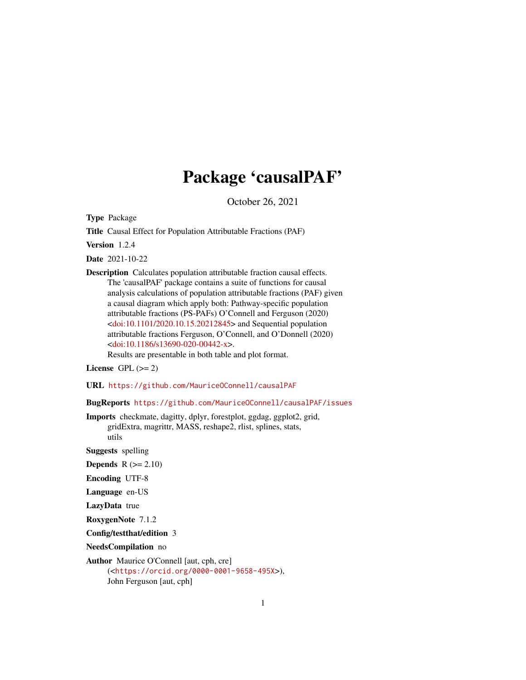## Package 'causalPAF'

October 26, 2021

Type Package

Title Causal Effect for Population Attributable Fractions (PAF)

Version 1.2.4

Date 2021-10-22

Description Calculates population attributable fraction causal effects. The 'causalPAF' package contains a suite of functions for causal analysis calculations of population attributable fractions (PAF) given a causal diagram which apply both: Pathway-specific population attributable fractions (PS-PAFs) O'Connell and Ferguson (2020)  $\langle \text{doi:10.1101/2020.10.15.20212845} \rangle$  and Sequential population attributable fractions Ferguson, O'Connell, and O'Donnell (2020) [<doi:10.1186/s13690-020-00442-x>](https://doi.org/10.1186/s13690-020-00442-x).

Results are presentable in both table and plot format.

License GPL  $(>= 2)$ 

URL <https://github.com/MauriceOConnell/causalPAF>

BugReports <https://github.com/MauriceOConnell/causalPAF/issues>

Imports checkmate, dagitty, dplyr, forestplot, ggdag, ggplot2, grid, gridExtra, magrittr, MASS, reshape2, rlist, splines, stats, utils

Suggests spelling

**Depends**  $R$  ( $>= 2.10$ )

Encoding UTF-8

Language en-US

LazyData true

RoxygenNote 7.1.2

Config/testthat/edition 3

NeedsCompilation no

Author Maurice O'Connell [aut, cph, cre] (<<https://orcid.org/0000-0001-9658-495X>>), John Ferguson [aut, cph]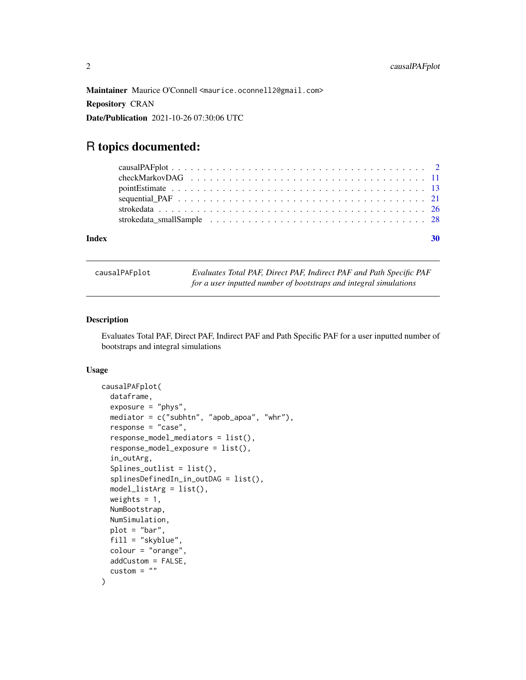<span id="page-1-0"></span>Maintainer Maurice O'Connell <maurice.oconnell2@gmail.com> Repository CRAN Date/Publication 2021-10-26 07:30:06 UTC

### R topics documented:

| causalPAFplot |
|---------------|
|---------------|

Evaluates Total PAF, Direct PAF, Indirect PAF and Path Specific PAF *for a user inputted number of bootstraps and integral simulations*

#### Description

Evaluates Total PAF, Direct PAF, Indirect PAF and Path Specific PAF for a user inputted number of bootstraps and integral simulations

#### Usage

```
causalPAFplot(
  dataframe,
  exposure = "phys",mediator = c("subhtn", "apob_apoa", "whr"),
  response = "case",
  response_model_mediators = list(),
  response_model_exposure = list(),
  in_outArg,
  Splines_outlist = list(),
  splinesDefinedIn_in_outDAG = list(),
  model_listArg = list(),
  weights = 1,
  NumBootstrap,
  NumSimulation,
  plot = "bar",
  fill = "skyblue",
  colour = "orange",
  addCustom = FALSE,
  \text{custom} = ""
)
```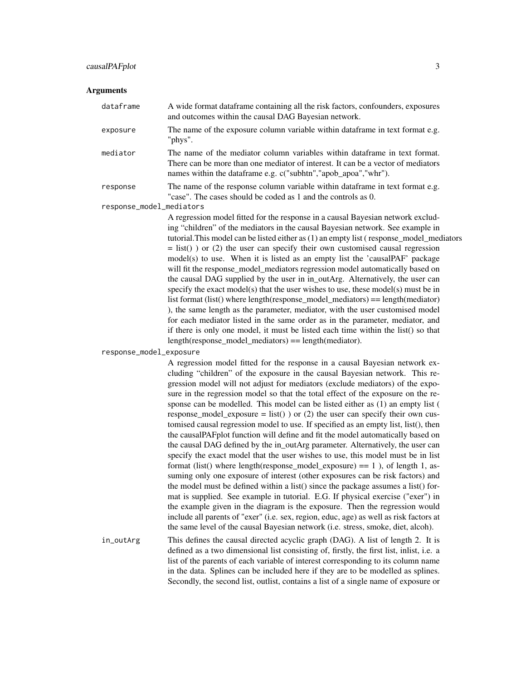#### Arguments

| dataframe | A wide format dataframe containing all the risk factors, confounders, exposures<br>and outcomes within the causal DAG Bayesian network. |
|-----------|-----------------------------------------------------------------------------------------------------------------------------------------|
| exposure  | The name of the exposure column variable within data frame in text format e.g.<br>"phys".                                               |
| mediator  | The name of the mediator column variables within dataframe in text format.                                                              |

There can be more than one mediator of interest. It can be a vector of mediators names within the dataframe e.g. c("subhtn","apob\_apoa","whr").

response The name of the response column variable within dataframe in text format e.g. "case". The cases should be coded as 1 and the controls as 0.

response\_model\_mediators

A regression model fitted for the response in a causal Bayesian network excluding "children" of the mediators in the causal Bayesian network. See example in tutorial. This model can be listed either as  $(1)$  an empty list ( response model mediators  $=$  list()) or (2) the user can specify their own customised causal regression model(s) to use. When it is listed as an empty list the 'causalPAF' package will fit the response\_model\_mediators regression model automatically based on the causal DAG supplied by the user in in\_outArg. Alternatively, the user can specify the exact model(s) that the user wishes to use, these model(s) must be in list format (list() where length(response\_model\_mediators) == length(mediator) ), the same length as the parameter, mediator, with the user customised model for each mediator listed in the same order as in the parameter, mediator, and if there is only one model, it must be listed each time within the list() so that length(response\_model\_mediators) == length(mediator).

response\_model\_exposure

A regression model fitted for the response in a causal Bayesian network excluding "children" of the exposure in the causal Bayesian network. This regression model will not adjust for mediators (exclude mediators) of the exposure in the regression model so that the total effect of the exposure on the response can be modelled. This model can be listed either as (1) an empty list ( response\_model\_exposure = list() ) or (2) the user can specify their own customised causal regression model to use. If specified as an empty list, list(), then the causalPAFplot function will define and fit the model automatically based on the causal DAG defined by the in\_outArg parameter. Alternatively, the user can specify the exact model that the user wishes to use, this model must be in list format (list() where length(response\_model\_exposure)  $== 1$ ), of length 1, assuming only one exposure of interest (other exposures can be risk factors) and the model must be defined within a list() since the package assumes a list() format is supplied. See example in tutorial. E.G. If physical exercise ("exer") in the example given in the diagram is the exposure. Then the regression would include all parents of "exer" (i.e. sex, region, educ, age) as well as risk factors at the same level of the causal Bayesian network (i.e. stress, smoke, diet, alcoh).

in\_outArg This defines the causal directed acyclic graph (DAG). A list of length 2. It is defined as a two dimensional list consisting of, firstly, the first list, inlist, i.e. a list of the parents of each variable of interest corresponding to its column name in the data. Splines can be included here if they are to be modelled as splines. Secondly, the second list, outlist, contains a list of a single name of exposure or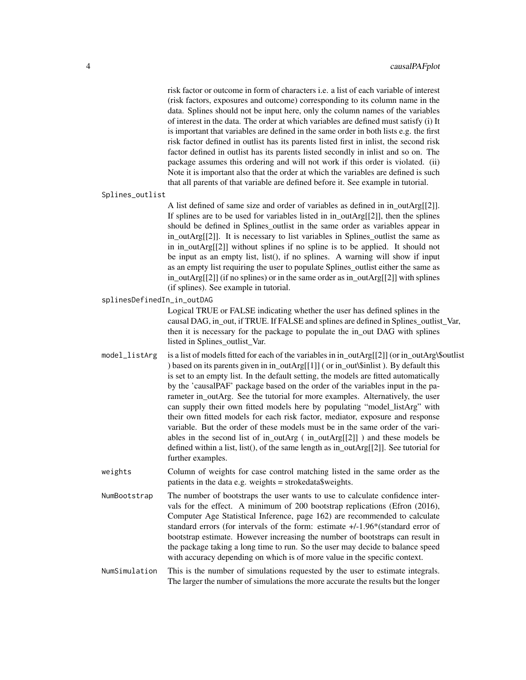risk factor or outcome in form of characters i.e. a list of each variable of interest (risk factors, exposures and outcome) corresponding to its column name in the data. Splines should not be input here, only the column names of the variables of interest in the data. The order at which variables are defined must satisfy (i) It is important that variables are defined in the same order in both lists e.g. the first risk factor defined in outlist has its parents listed first in inlist, the second risk factor defined in outlist has its parents listed secondly in inlist and so on. The package assumes this ordering and will not work if this order is violated. (ii) Note it is important also that the order at which the variables are defined is such that all parents of that variable are defined before it. See example in tutorial.

Splines\_outlist

A list defined of same size and order of variables as defined in in\_outArg[[2]]. If splines are to be used for variables listed in in\_outArg[[2]], then the splines should be defined in Splines\_outlist in the same order as variables appear in in\_outArg[[2]]. It is necessary to list variables in Splines\_outlist the same as in in outArg $[2]$ ] without splines if no spline is to be applied. It should not be input as an empty list, list(), if no splines. A warning will show if input as an empty list requiring the user to populate Splines\_outlist either the same as in\_outArg[[2]] (if no splines) or in the same order as in\_outArg[[2]] with splines (if splines). See example in tutorial.

splinesDefinedIn\_in\_outDAG

Logical TRUE or FALSE indicating whether the user has defined splines in the causal DAG, in\_out, if TRUE. If FALSE and splines are defined in Splines\_outlist\_Var, then it is necessary for the package to populate the in\_out DAG with splines listed in Splines\_outlist\_Var.

- model\_listArg is a list of models fitted for each of the variables in in\_outArg $[2]$ ] (or in\_outArg $\$$ outlist ) based on its parents given in in\_outArg[[1]] ( or in\_out\\$inlist ). By default this is set to an empty list. In the default setting, the models are fitted automatically by the 'causalPAF' package based on the order of the variables input in the parameter in outArg. See the tutorial for more examples. Alternatively, the user can supply their own fitted models here by populating "model\_listArg" with their own fitted models for each risk factor, mediator, exposure and response variable. But the order of these models must be in the same order of the variables in the second list of in\_outArg ( in\_outArg[[2]] ) and these models be defined within a list, list(), of the same length as in\_outArg[[2]]. See tutorial for further examples.
- weights Column of weights for case control matching listed in the same order as the patients in the data e.g. weights = strokedata\$weights.
- NumBootstrap The number of bootstraps the user wants to use to calculate confidence intervals for the effect. A minimum of 200 bootstrap replications (Efron (2016), Computer Age Statistical Inference, page 162) are recommended to calculate standard errors (for intervals of the form: estimate +/-1.96\*(standard error of bootstrap estimate. However increasing the number of bootstraps can result in the package taking a long time to run. So the user may decide to balance speed with accuracy depending on which is of more value in the specific context.
- NumSimulation This is the number of simulations requested by the user to estimate integrals. The larger the number of simulations the more accurate the results but the longer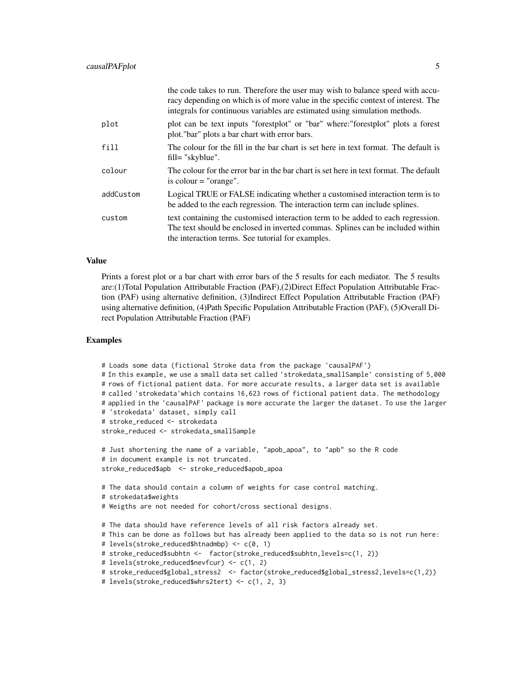|           | the code takes to run. Therefore the user may wish to balance speed with accu-<br>racy depending on which is of more value in the specific context of interest. The<br>integrals for continuous variables are estimated using simulation methods. |
|-----------|---------------------------------------------------------------------------------------------------------------------------------------------------------------------------------------------------------------------------------------------------|
| plot      | plot can be text inputs "forestplot" or "bar" where: "forestplot" plots a forest<br>plot."bar" plots a bar chart with error bars.                                                                                                                 |
| fill      | The colour for the fill in the bar chart is set here in text format. The default is<br>fill= "skyblue".                                                                                                                                           |
| colour    | The colour for the error bar in the bar chart is set here in text format. The default<br>is colour $=$ "orange".                                                                                                                                  |
| addCustom | Logical TRUE or FALSE indicating whether a customised interaction term is to<br>be added to the each regression. The interaction term can include splines.                                                                                        |
| custom    | text containing the customised interaction term to be added to each regression.<br>The text should be enclosed in inverted commas. Splines can be included within<br>the interaction terms. See tutorial for examples.                            |

#### Value

Prints a forest plot or a bar chart with error bars of the 5 results for each mediator. The 5 results are:(1)Total Population Attributable Fraction (PAF),(2)Direct Effect Population Attributable Fraction (PAF) using alternative definition, (3)Indirect Effect Population Attributable Fraction (PAF) using alternative definition, (4)Path Specific Population Attributable Fraction (PAF), (5)Overall Direct Population Attributable Fraction (PAF)

#### Examples

```
# Loads some data (fictional Stroke data from the package 'causalPAF')
# In this example, we use a small data set called 'strokedata_smallSample' consisting of 5,000
# rows of fictional patient data. For more accurate results, a larger data set is available
# called 'strokedata'which contains 16,623 rows of fictional patient data. The methodology
# applied in the 'causalPAF' package is more accurate the larger the dataset. To use the larger
# 'strokedata' dataset, simply call
# stroke_reduced <- strokedata
stroke_reduced <- strokedata_smallSample
# Just shortening the name of a variable, "apob_apoa", to "apb" so the R code
# in document example is not truncated.
stroke_reduced$apb <- stroke_reduced$apob_apoa
# The data should contain a column of weights for case control matching.
# strokedata$weights
# Weigths are not needed for cohort/cross sectional designs.
# The data should have reference levels of all risk factors already set.
# This can be done as follows but has already been applied to the data so is not run here:
# levels(stroke_reduced$htnadmbp) <- c(0, 1)
# stroke_reduced$subhtn <- factor(stroke_reduced$subhtn,levels=c(1, 2))
# levels(stroke_reduced$nevfcur) <- c(1, 2)
# stroke_reduced$global_stress2 <- factor(stroke_reduced$global_stress2,levels=c(1,2))
# levels(stroke_reduced$whrs2tert) <- c(1, 2, 3)
```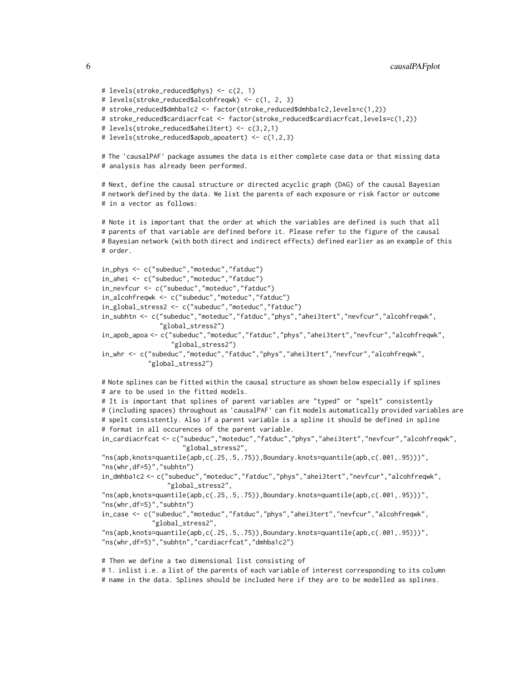```
# stroke_reduced$cardiacrfcat <- factor(stroke_reduced$cardiacrfcat,levels=c(1,2))
# levels(stroke_reduced$ahei3tert) <- c(3,2,1)
# levels(stroke_reduced$apob_apoatert) <- c(1,2,3)
# The 'causalPAF' package assumes the data is either complete case data or that missing data
# analysis has already been performed.
# Next, define the causal structure or directed acyclic graph (DAG) of the causal Bayesian
# network defined by the data. We list the parents of each exposure or risk factor or outcome
# in a vector as follows:
# Note it is important that the order at which the variables are defined is such that all
# parents of that variable are defined before it. Please refer to the figure of the causal
# Bayesian network (with both direct and indirect effects) defined earlier as an example of this
# order.
in_phys <- c("subeduc","moteduc","fatduc")
in_ahei <- c("subeduc","moteduc","fatduc")
in_nevfcur <- c("subeduc","moteduc","fatduc")
in_alcohfreqwk <- c("subeduc","moteduc","fatduc")
in_global_stress2 <- c("subeduc","moteduc","fatduc")
in_subhtn <- c("subeduc","moteduc","fatduc","phys","ahei3tert","nevfcur","alcohfreqwk",
               "global_stress2")
in_apob_apoa <- c("subeduc","moteduc","fatduc","phys","ahei3tert","nevfcur","alcohfreqwk",
                  "global_stress2")
in_whr <- c("subeduc","moteduc","fatduc","phys","ahei3tert","nevfcur","alcohfreqwk",
            "global_stress2")
# Note splines can be fitted within the causal structure as shown below especially if splines
# are to be used in the fitted models.
# It is important that splines of parent variables are "typed" or "spelt" consistently
# (including spaces) throughout as 'causalPAF' can fit models automatically provided variables are
# spelt consistently. Also if a parent variable is a spline it should be defined in spline
# format in all occurences of the parent variable.
in_cardiacrfcat <- c("subeduc","moteduc","fatduc","phys","ahei3tert","nevfcur","alcohfreqwk",
                     "global_stress2",
"ns(apb,knots=quantile(apb,c(.25,.5,.75)),Boundary.knots=quantile(apb,c(.001,.95)))",
"ns(whr,df=5)","subhtn")
in_dmhba1c2 <- c("subeduc","moteduc","fatduc","phys","ahei3tert","nevfcur","alcohfreqwk",
                 "global_stress2",
"ns(apb,knots=quantile(apb,c(.25,.5,.75)),Boundary.knots=quantile(apb,c(.001,.95)))",
"ns(whr,df=5)","subhtn")
in_case <- c("subeduc","moteduc","fatduc","phys","ahei3tert","nevfcur","alcohfreqwk",
             "global_stress2",
"ns(apb,knots=quantile(apb,c(.25,.5,.75)),Boundary.knots=quantile(apb,c(.001,.95)))",
"ns(whr,df=5)","subhtn","cardiacrfcat","dmhba1c2")
# Then we define a two dimensional list consisting of
```
# 1. inlist i.e. a list of the parents of each variable of interest corresponding to its column # name in the data. Splines should be included here if they are to be modelled as splines.

# levels(stroke\_reduced\$phys) <- c(2, 1)

# levels(stroke\_reduced\$alcohfreqwk) <- c(1, 2, 3)

# stroke\_reduced\$dmhba1c2 <- factor(stroke\_reduced\$dmhba1c2,levels=c(1,2))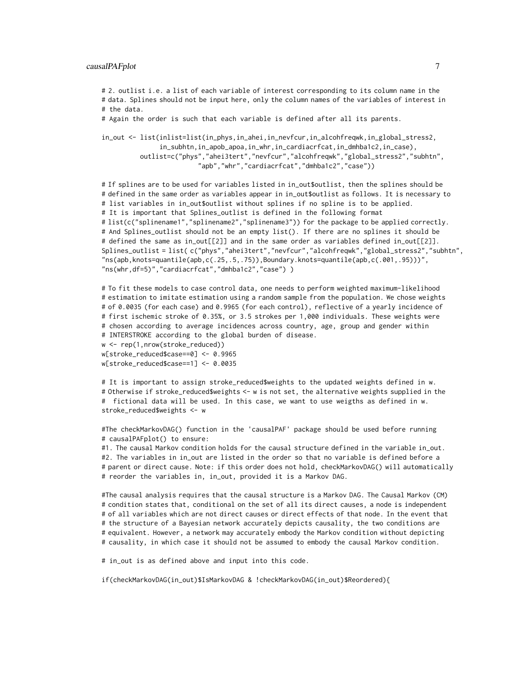# 2. outlist i.e. a list of each variable of interest corresponding to its column name in the # data. Splines should not be input here, only the column names of the variables of interest in # the data.

# Again the order is such that each variable is defined after all its parents.

```
in_out <- list(inlist=list(in_phys,in_ahei,in_nevfcur,in_alcohfreqwk,in_global_stress2,
               in_subhtn,in_apob_apoa,in_whr,in_cardiacrfcat,in_dmhba1c2,in_case),
         outlist=c("phys","ahei3tert","nevfcur","alcohfreqwk","global_stress2","subhtn",
                         "apb","whr","cardiacrfcat","dmhba1c2","case"))
```
# If splines are to be used for variables listed in in\_out\$outlist, then the splines should be # defined in the same order as variables appear in in\_out\$outlist as follows. It is necessary to # list variables in in\_out\$outlist without splines if no spline is to be applied. # It is important that Splines\_outlist is defined in the following format # list(c("splinename1","splinename2","splinename3")) for the package to be applied correctly. # And Splines\_outlist should not be an empty list(). If there are no splines it should be # defined the same as in\_out[[2]] and in the same order as variables defined in\_out[[2]]. Splines\_outlist = list( c("phys","ahei3tert","nevfcur","alcohfreqwk","global\_stress2","subhtn",  $\texttt{m}$ s(apb,knots=quantile(apb,c(.25,.5,.75)),Boundary.knots=quantile(apb,c(.001,.95)))", "ns(whr,df=5)","cardiacrfcat","dmhba1c2","case") )

```
# To fit these models to case control data, one needs to perform weighted maximum-likelihood
# estimation to imitate estimation using a random sample from the population. We chose weights
# of 0.0035 (for each case) and 0.9965 (for each control), reflective of a yearly incidence of
# first ischemic stroke of 0.35%, or 3.5 strokes per 1,000 individuals. These weights were
# chosen according to average incidences across country, age, group and gender within
# INTERSTROKE according to the global burden of disease.
w <- rep(1,nrow(stroke_reduced))
w[stroke_reduced$case==0] <- 0.9965
w[stroke_reduced$case==1] <- 0.0035
```
# It is important to assign stroke\_reduced\$weights to the updated weights defined in w. # Otherwise if stroke\_reduced\$weights <- w is not set, the alternative weights supplied in the # fictional data will be used. In this case, we want to use weigths as defined in w. stroke\_reduced\$weights <- w

#The checkMarkovDAG() function in the 'causalPAF' package should be used before running # causalPAFplot() to ensure:

#1. The causal Markov condition holds for the causal structure defined in the variable in\_out. #2. The variables in in\_out are listed in the order so that no variable is defined before a # parent or direct cause. Note: if this order does not hold, checkMarkovDAG() will automatically # reorder the variables in, in\_out, provided it is a Markov DAG.

#The causal analysis requires that the causal structure is a Markov DAG. The Causal Markov (CM) # condition states that, conditional on the set of all its direct causes, a node is independent # of all variables which are not direct causes or direct effects of that node. In the event that # the structure of a Bayesian network accurately depicts causality, the two conditions are # equivalent. However, a network may accurately embody the Markov condition without depicting # causality, in which case it should not be assumed to embody the causal Markov condition.

# in\_out is as defined above and input into this code.

if(checkMarkovDAG(in\_out)\$IsMarkovDAG & !checkMarkovDAG(in\_out)\$Reordered){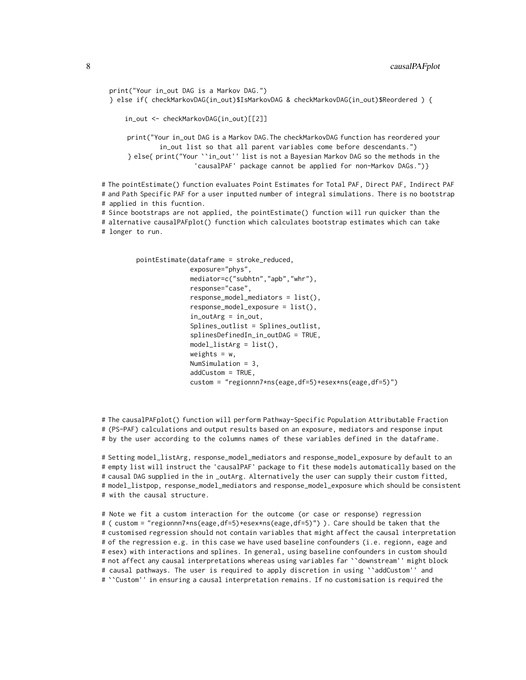```
print("Your in_out DAG is a Markov DAG.")
 } else if( checkMarkovDAG(in_out)$IsMarkovDAG & checkMarkovDAG(in_out)$Reordered ) {
      in_out <- checkMarkovDAG(in_out)[[2]]
      print("Your in_out DAG is a Markov DAG.The checkMarkovDAG function has reordered your
               in_out list so that all parent variables come before descendants.")
      } else{ print("Your ``in_out'' list is not a Bayesian Markov DAG so the methods in the
                        'causalPAF' package cannot be applied for non-Markov DAGs.")}
# The pointEstimate() function evaluates Point Estimates for Total PAF, Direct PAF, Indirect PAF
# and Path Specific PAF for a user inputted number of integral simulations. There is no bootstrap
# applied in this fucntion.
# Since bootstraps are not applied, the pointEstimate() function will run quicker than the
# alternative causalPAFplot() function which calculates bootstrap estimates which can take
# longer to run.
```

```
pointEstimate(dataframe = stroke_reduced,
              exposure="phys",
              mediator=c("subhtn","apb","whr"),
              response="case",
              response_model_mediators = list(),
              response_model_exposure = list(),
              in_outArg = in_out,
              Splines_outlist = Splines_outlist,
              splinesDefinedIn_in_outDAG = TRUE,
              model\_listArg = list(),
              weights = w,
              NumSimulation = 3,
              addCustom = TRUE,
              custom = "regionnn7*ns(eage,df=5)+esex*ns(eage,df=5)")
```
# The causalPAFplot() function will perform Pathway-Specific Population Attributable Fraction # (PS-PAF) calculations and output results based on an exposure, mediators and response input # by the user according to the columns names of these variables defined in the dataframe.

# Setting model\_listArg, response\_model\_mediators and response\_model\_exposure by default to an # empty list will instruct the 'causalPAF' package to fit these models automatically based on the # causal DAG supplied in the in \_outArg. Alternatively the user can supply their custom fitted, # model\_listpop, response\_model\_mediators and response\_model\_exposure which should be consistent # with the causal structure.

# Note we fit a custom interaction for the outcome (or case or response) regression # ( custom = "regionnn7\*ns(eage,df=5)+esex\*ns(eage,df=5)") ). Care should be taken that the # customised regression should not contain variables that might affect the causal interpretation # of the regression e.g. in this case we have used baseline confounders (i.e. regionn, eage and # esex) with interactions and splines. In general, using baseline confounders in custom should # not affect any causal interpretations whereas using variables far ``downstream'' might block # causal pathways. The user is required to apply discretion in using ``addCustom'' and # ``Custom'' in ensuring a causal interpretation remains. If no customisation is required the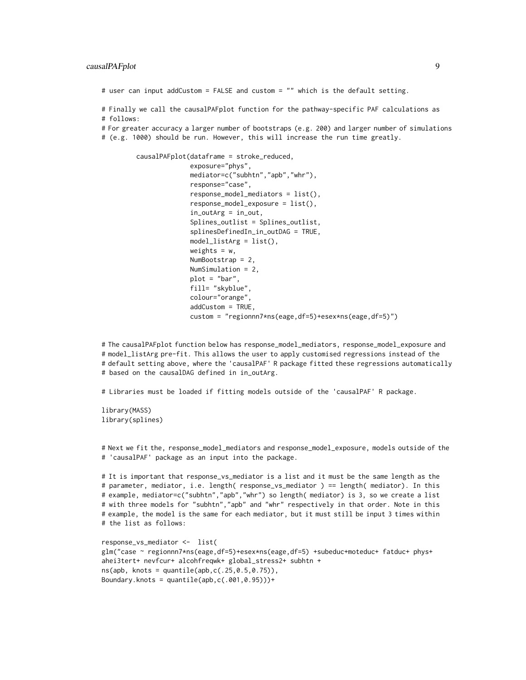# user can input addCustom = FALSE and custom = "" which is the default setting.

# Finally we call the causalPAFplot function for the pathway-specific PAF calculations as # follows:

# For greater accuracy a larger number of bootstraps (e.g. 200) and larger number of simulations

# (e.g. 1000) should be run. However, this will increase the run time greatly.

```
causalPAFplot(dataframe = stroke_reduced,
              exposure="phys",
              mediator=c("subhtn","apb","whr"),
              response="case",
              response_model_mediators = list(),
              response_model_exposure = list(),
              in_outArg = in_out,
              Splines_outlist = Splines_outlist,
              splinesDefinedIn_in_outDAG = TRUE,
              model_listArg = list(),
              weights = w,
              NumBootstrap = 2,
              NumSimulation = 2,
              plot = "bar",
              fill= "skyblue",
              colour="orange",
              addCustom = TRUE,
              custom = "regionnn7*ns(eage,df=5)+esex*ns(eage,df=5)")
```
# The causalPAFplot function below has response\_model\_mediators, response\_model\_exposure and # model\_listArg pre-fit. This allows the user to apply customised regressions instead of the # default setting above, where the 'causalPAF' R package fitted these regressions automatically # based on the causalDAG defined in in\_outArg.

# Libraries must be loaded if fitting models outside of the 'causalPAF' R package.

library(MASS) library(splines)

# Next we fit the, response\_model\_mediators and response\_model\_exposure, models outside of the # 'causalPAF' package as an input into the package.

# It is important that response\_vs\_mediator is a list and it must be the same length as the # parameter, mediator, i.e. length( response\_vs\_mediator ) == length( mediator). In this # example, mediator=c("subhtn","apb","whr") so length( mediator) is 3, so we create a list # with three models for "subhtn","apb" and "whr" respectively in that order. Note in this # example, the model is the same for each mediator, but it must still be input 3 times within # the list as follows:

```
response_vs_mediator <- list(
glm("case ~ regionnn7*ns(eage,df=5)+esex*ns(eage,df=5) +subeduc+moteduc+ fatduc+ phys+
ahei3tert+ nevfcur+ alcohfreqwk+ global_stress2+ subhtn +
ns(app, knots = quantile(app, c(.25, 0.5, 0.75)),Boundary.knots = quantile(app, c(.001, 0.95)))+
```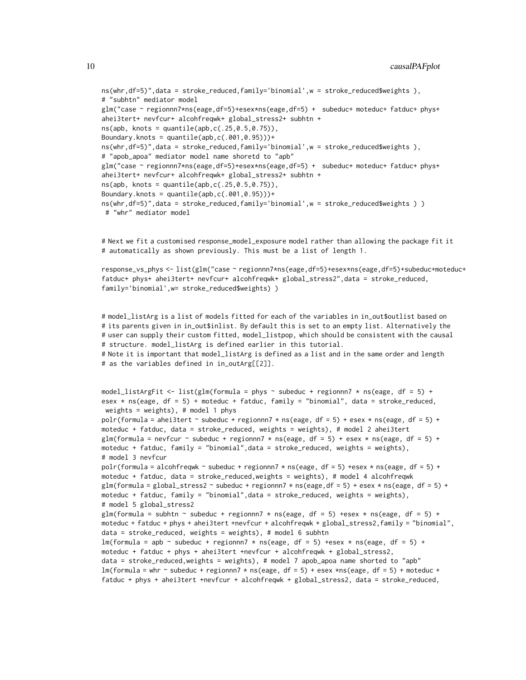```
ns(whr,df=5)",data = stroke_reduced,family='binomial',w = stroke_reduced$weights ),
# "subhtn" mediator model
glm("case ~ regionnn7*ns(eage,df=5)+esex*ns(eage,df=5) + subeduc+ moteduc+ fatduc+ phys+
ahei3tert+ nevfcur+ alcohfreqwk+ global_stress2+ subhtn +
ns(app, knots = quantile(app, c(.25, 0.5, 0.75)),Boundary.knots = quantile(app, c(.001, 0.95))) +ns(whr,df=5)",data = stroke_reduced,family='binomial',w = stroke_reduced$weights ),
# "apob_apoa" mediator model name shoretd to "apb"
glm("case ~ regionnn7*ns(eage,df=5)+esex*ns(eage,df=5) + subeduc+ moteduc+ fatduc+ phys+
ahei3tert+ nevfcur+ alcohfreqwk+ global_stress2+ subhtn +
ns(app, knots = quantile(app, c(.25, 0.5, 0.75)),Boundary.knots = quantile(app, c(.001, 0.95))) +ns(whr,df=5)",data = stroke_reduced,family='binomial',w = stroke_reduced$weights ) )
# "whr" mediator model
```
# Next we fit a customised response\_model\_exposure model rather than allowing the package fit it # automatically as shown previously. This must be a list of length 1.

```
response_vs_phys <- list(glm("case ~ regionnn7*ns(eage,df=5)+esex*ns(eage,df=5)+subeduc+moteduc+
fatduc+ phys+ ahei3tert+ nevfcur+ alcohfreqwk+ global_stress2",data = stroke_reduced,
family='binomial',w= stroke_reduced$weights) )
```

```
# model_listArg is a list of models fitted for each of the variables in in_out$outlist based on
# its parents given in in_out$inlist. By default this is set to an empty list. Alternatively the
# user can supply their custom fitted, model_listpop, which should be consistent with the causal
# structure. model_listArg is defined earlier in this tutorial.
# Note it is important that model_listArg is defined as a list and in the same order and length
# as the variables defined in in_outArg[[2]].
model_listArgFit <- list(glm(formula = phys \sim subeduc + regionnn7 \star ns(eage, df = 5) +
```

```
esex * ns(eage, df = 5) + moteduc + fatduc, family = "binomial", data = stroke_reduced,
weights = weights), # model 1 phys
polr(formula = ahei3tert \sim subeduc + regionnn7 \star ns(eage, df = 5) + esex \star ns(eage, df = 5) +
moteduc + fatduc, data = stroke_reduced, weights = weights), # model 2 ahei3tert
glm(formula = nevfcur \sim subeduc + regionnn7 \star ns(eage, df = 5) + esex \star ns(eage, df = 5) +
moteduc + fatduc, family = "binomial",data = stroke_reduced, weights = weights),
# model 3 nevfcur
polr(formula = alcohfreqwk \sim subeduc + regionnn7 \star ns(eage, df = 5) +esex \star ns(eage, df = 5) +
moteduc + fatduc, data = stroke_reduced,weights = weights), # model 4 alcohfreqwk
glm(formula = global_stress2 \sim subeduc + regionnn7 \star ns(eage,df = 5) + esex \star ns(eage, df = 5) +
moteduc + fatduc, family = "binomial",data = stroke_reduced, weights = weights),
# model 5 global_stress2
glm(formula = subhtn \sim subeduc + regionnn7 * ns(eage, df = 5) +esex * ns(eage, df = 5) +
moteduc + fatduc + phys + ahei3tert +nevfcur + alcohfreqwk + global_stress2,family = "binomial",
data = stroke_reduced, weights = weights), # model 6 subhtn
lm(formula = app ~ value + regionnn7 ~times ns(eage, df = 5) ~+esex ~times ns(eage, df = 5) ~+moteduc + fatduc + phys + ahei3tert +nevfcur + alcohfreqwk + global_stress2,
data = stroke_reduced,weights = weights), # model 7 apob_apoa name shorted to "apb"
lm(formula = whr \sim subeduc + regionnn7 * ns(eage, df = 5) + esex *ns(eage, df = 5) + moteduc +fatduc + phys + ahei3tert +nevfcur + alcohfreqwk + global_stress2, data = stroke_reduced,
```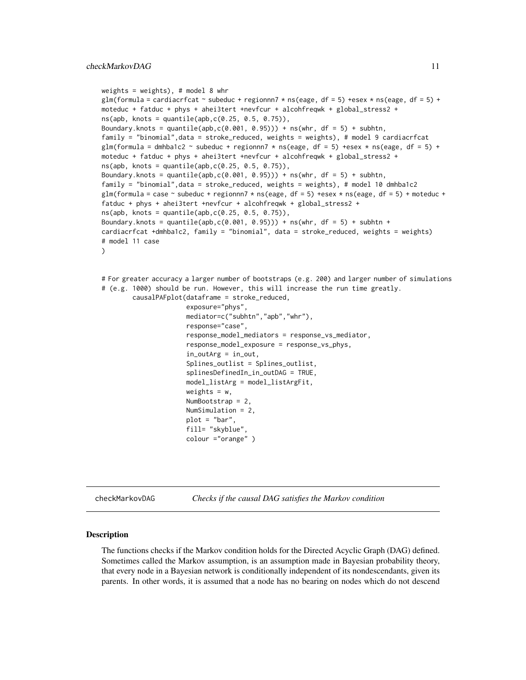```
weights = weights), # model 8 whr
glm(formula = cardiacrfcat \sim subeduc + regionnn7 \star ns(eage, df = 5) +esex \star ns(eage, df = 5) +
moteduc + fatduc + phys + ahei3tert +nevfcur + alcohfreqwk + global_stress2 +
ns(app, knots = quantile(app, c(0.25, 0.5, 0.75)),Boundary.knots = quantile(apb,c(0.001, 0.95))) + ns(whr, df = 5) + subhtn,
family = "binomial",data = stroke_reduced, weights = weights), # model 9 cardiacrfcat
glm(formula = dmhba1c2 \sim subeduc + regionnn7 \star ns(eage, df = 5) +esex \star ns(eage, df = 5) +
moteduc + fatduc + phys + ahei3tert +nevfcur + alcohfreqwk + global_stress2 +
ns(app, knots = quantile(app, c(0.25, 0.5, 0.75)),Boundary.knots = quantile(apb,c(0.001, 0.95))) + ns(whr, df = 5) + subhtn,family = "binomial",data = stroke_reduced, weights = weights), # model 10 dmhba1c2
glm(formula = case ~ subeduc + regionnn7 * ns(eage, df = 5) +esex * ns(eage, df = 5) + moteduc +
fatduc + phys + ahei3tert +nevfcur + alcohfreqwk + global_stress2 +
ns(app, knots = quantile(app, c(0.25, 0.5, 0.75)),Boundary.knots = quantile(apb,c(0.001, 0.95))) + ns(whr, df = 5) + subhtn +
cardiacrfcat +dmhba1c2, family = "binomial", data = stroke_reduced, weights = weights)
# model 11 case
)
# For greater accuracy a larger number of bootstraps (e.g. 200) and larger number of simulations
# (e.g. 1000) should be run. However, this will increase the run time greatly.
        causalPAFplot(dataframe = stroke_reduced,
                      exposure="phys",
                      mediator=c("subhtn","apb","whr"),
                      response="case",
                      response_model_mediators = response_vs_mediator,
                      response_model_exposure = response_vs_phys,
                      in_outArg = in_out,
                      Splines_outlist = Splines_outlist,
                      splinesDefinedIn_in_outDAG = TRUE,
                      model_listArg = model_listArgFit,
                      weights = w,
                      NumBootstrap = 2,
                      NumSimulation = 2,
```
checkMarkovDAG *Checks if the causal DAG satisfies the Markov condition*

#### Description

The functions checks if the Markov condition holds for the Directed Acyclic Graph (DAG) defined. Sometimes called the Markov assumption, is an assumption made in Bayesian probability theory, that every node in a Bayesian network is conditionally independent of its nondescendants, given its parents. In other words, it is assumed that a node has no bearing on nodes which do not descend

plot = "bar", fill= "skyblue", colour ="orange" )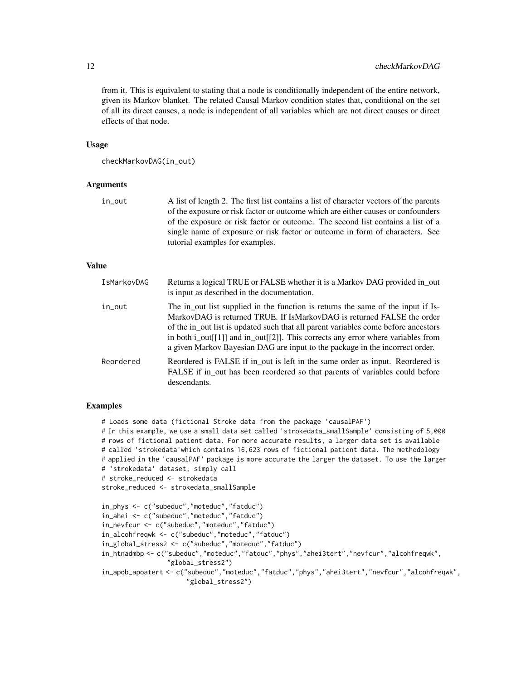from it. This is equivalent to stating that a node is conditionally independent of the entire network, given its Markov blanket. The related Causal Markov condition states that, conditional on the set of all its direct causes, a node is independent of all variables which are not direct causes or direct effects of that node.

#### Usage

```
checkMarkovDAG(in_out)
```
#### Arguments

in\_out A list of length 2. The first list contains a list of character vectors of the parents of the exposure or risk factor or outcome which are either causes or confounders of the exposure or risk factor or outcome. The second list contains a list of a single name of exposure or risk factor or outcome in form of characters. See tutorial examples for examples.

#### Value

| IsMarkovDAG | Returns a logical TRUE or FALSE whether it is a Markov DAG provided in_out<br>is input as described in the documentation.                                                                                                                                                                                                                                                                                                  |
|-------------|----------------------------------------------------------------------------------------------------------------------------------------------------------------------------------------------------------------------------------------------------------------------------------------------------------------------------------------------------------------------------------------------------------------------------|
| in_out      | The in_out list supplied in the function is returns the same of the input if Is-<br>MarkovDAG is returned TRUE. If IsMarkovDAG is returned FALSE the order<br>of the in_out list is updated such that all parent variables come before ancestors<br>in both $i$ _out[[1]] and $in$ _out[[2]]. This corrects any error where variables from<br>a given Markov Bayesian DAG are input to the package in the incorrect order. |
| Reordered   | Reordered is FALSE if in out is left in the same order as input. Reordered is<br>FALSE if in out has been reordered so that parents of variables could before<br>descendants.                                                                                                                                                                                                                                              |

#### Examples

```
# Loads some data (fictional Stroke data from the package 'causalPAF')
# In this example, we use a small data set called 'strokedata_smallSample' consisting of 5,000
# rows of fictional patient data. For more accurate results, a larger data set is available
# called 'strokedata'which contains 16,623 rows of fictional patient data. The methodology
# applied in the 'causalPAF' package is more accurate the larger the dataset. To use the larger
# 'strokedata' dataset, simply call
# stroke_reduced <- strokedata
stroke_reduced <- strokedata_smallSample
in_phys <- c("subeduc","moteduc","fatduc")
in_ahei <- c("subeduc","moteduc","fatduc")
in_nevfcur <- c("subeduc","moteduc","fatduc")
in_alcohfreqwk <- c("subeduc","moteduc","fatduc")
in_global_stress2 <- c("subeduc","moteduc","fatduc")
in_htnadmbp <- c("subeduc","moteduc","fatduc","phys","ahei3tert","nevfcur","alcohfreqwk",
                 "global_stress2")
in_apob_apoatert <- c("subeduc","moteduc","fatduc","phys","ahei3tert","nevfcur","alcohfreqwk",
                      "global_stress2")
```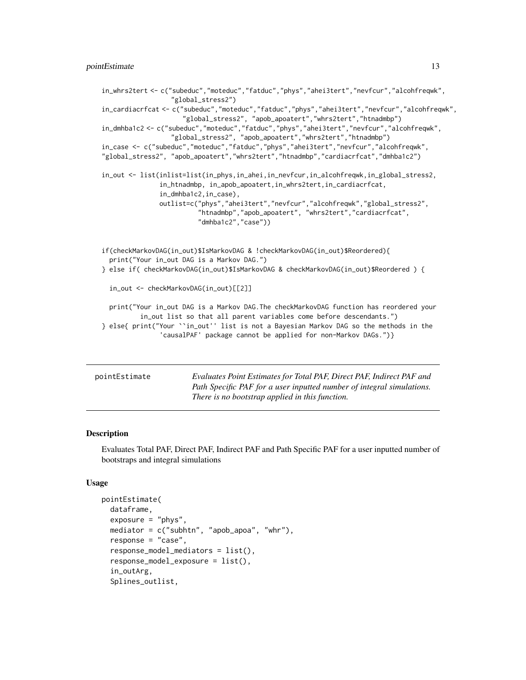#### <span id="page-12-0"></span>pointEstimate 13

```
in_whrs2tert <- c("subeduc","moteduc","fatduc","phys","ahei3tert","nevfcur","alcohfreqwk",
                  "global_stress2")
in_cardiacrfcat <- c("subeduc","moteduc","fatduc","phys","ahei3tert","nevfcur","alcohfreqwk",
                     "global_stress2", "apob_apoatert","whrs2tert","htnadmbp")
in_dmhba1c2 <- c("subeduc","moteduc","fatduc","phys","ahei3tert","nevfcur","alcohfreqwk",
                  "global_stress2", "apob_apoatert","whrs2tert","htnadmbp")
in_case <- c("subeduc","moteduc","fatduc","phys","ahei3tert","nevfcur","alcohfreqwk",
"global_stress2", "apob_apoatert","whrs2tert","htnadmbp","cardiacrfcat","dmhba1c2")
in_out <- list(inlist=list(in_phys,in_ahei,in_nevfcur,in_alcohfreqwk,in_global_stress2,
               in_htnadmbp, in_apob_apoatert,in_whrs2tert,in_cardiacrfcat,
               in_dmhba1c2,in_case),
               outlist=c("phys","ahei3tert","nevfcur","alcohfreqwk","global_stress2",
                         "htnadmbp","apob_apoatert", "whrs2tert","cardiacrfcat",
                         "dmhba1c2","case"))
if(checkMarkovDAG(in_out)$IsMarkovDAG & !checkMarkovDAG(in_out)$Reordered){
 print("Your in_out DAG is a Markov DAG.")
} else if( checkMarkovDAG(in_out)$IsMarkovDAG & checkMarkovDAG(in_out)$Reordered ) {
 in_out <- checkMarkovDAG(in_out)[[2]]
 print("Your in_out DAG is a Markov DAG.The checkMarkovDAG function has reordered your
         in_out list so that all parent variables come before descendants.")
} else{ print("Your ``in_out'' list is not a Bayesian Markov DAG so the methods in the
               'causalPAF' package cannot be applied for non-Markov DAGs.")}
```

| pointEstimate | Evaluates Point Estimates for Total PAF, Direct PAF, Indirect PAF and |
|---------------|-----------------------------------------------------------------------|
|               | Path Specific PAF for a user inputted number of integral simulations. |
|               | There is no bootstrap applied in this function.                       |

#### **Description**

Evaluates Total PAF, Direct PAF, Indirect PAF and Path Specific PAF for a user inputted number of bootstraps and integral simulations

#### Usage

```
pointEstimate(
  dataframe,
  exposure = "phys",mediator = c("subhtn", "apob_apoa", "whr"),
  response = "case",
  response_model_mediators = list(),
  response_model_exposure = list(),
  in_outArg,
  Splines_outlist,
```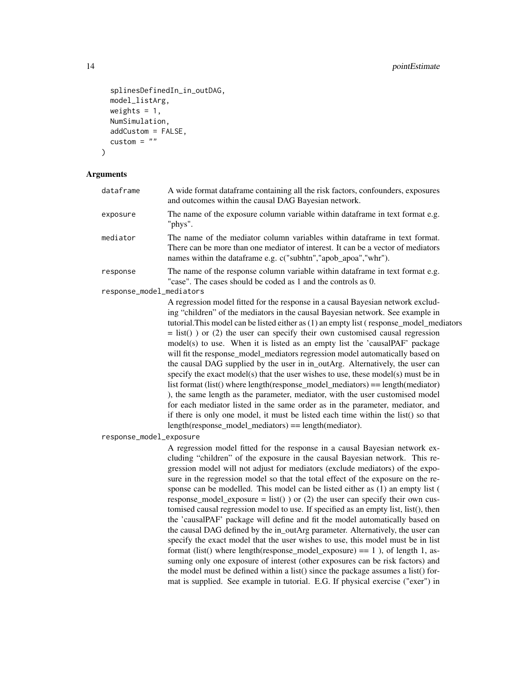```
splinesDefinedIn_in_outDAG,
model_listArg,
weights = 1,
NumSimulation,
addCustom = FALSE,
custom = "
```
)

#### Arguments

| dataframe                | A wide format dataframe containing all the risk factors, confounders, exposures<br>and outcomes within the causal DAG Bayesian network.                                                                                                                                                                                                                                                                                                                                                                                                                                                                                                                                                                                                                                                                                                                                                                                                                                                                                                                                                  |
|--------------------------|------------------------------------------------------------------------------------------------------------------------------------------------------------------------------------------------------------------------------------------------------------------------------------------------------------------------------------------------------------------------------------------------------------------------------------------------------------------------------------------------------------------------------------------------------------------------------------------------------------------------------------------------------------------------------------------------------------------------------------------------------------------------------------------------------------------------------------------------------------------------------------------------------------------------------------------------------------------------------------------------------------------------------------------------------------------------------------------|
| exposure                 | The name of the exposure column variable within dataframe in text format e.g.<br>"phys".                                                                                                                                                                                                                                                                                                                                                                                                                                                                                                                                                                                                                                                                                                                                                                                                                                                                                                                                                                                                 |
| mediator                 | The name of the mediator column variables within dataframe in text format.<br>There can be more than one mediator of interest. It can be a vector of mediators<br>names within the dataframe e.g. c("subhtn","apob_apoa","whr").                                                                                                                                                                                                                                                                                                                                                                                                                                                                                                                                                                                                                                                                                                                                                                                                                                                         |
| response                 | The name of the response column variable within dataframe in text format e.g.<br>"case". The cases should be coded as 1 and the controls as 0.                                                                                                                                                                                                                                                                                                                                                                                                                                                                                                                                                                                                                                                                                                                                                                                                                                                                                                                                           |
| response_model_mediators |                                                                                                                                                                                                                                                                                                                                                                                                                                                                                                                                                                                                                                                                                                                                                                                                                                                                                                                                                                                                                                                                                          |
|                          | A regression model fitted for the response in a causal Bayesian network exclud-<br>ing "children" of the mediators in the causal Bayesian network. See example in<br>tutorial. This model can be listed either as (1) an empty list (response_model_mediators<br>$=$ list()) or (2) the user can specify their own customised causal regression<br>model(s) to use. When it is listed as an empty list the 'causalPAF' package<br>will fit the response_model_mediators regression model automatically based on<br>the causal DAG supplied by the user in in_outArg. Alternatively, the user can<br>specify the exact model(s) that the user wishes to use, these model(s) must be in<br>list format (list() where length(response_model_mediators) == length(mediator)<br>), the same length as the parameter, mediator, with the user customised model<br>for each mediator listed in the same order as in the parameter, mediator, and<br>if there is only one model, it must be listed each time within the list() so that<br>$length(respose_model_mediators) == length(mediator).$ |
| response_model_exposure  |                                                                                                                                                                                                                                                                                                                                                                                                                                                                                                                                                                                                                                                                                                                                                                                                                                                                                                                                                                                                                                                                                          |
|                          |                                                                                                                                                                                                                                                                                                                                                                                                                                                                                                                                                                                                                                                                                                                                                                                                                                                                                                                                                                                                                                                                                          |

A regression model fitted for the response in a causal Bayesian network excluding "children" of the exposure in the causal Bayesian network. This regression model will not adjust for mediators (exclude mediators) of the exposure in the regression model so that the total effect of the exposure on the response can be modelled. This model can be listed either as (1) an empty list ( response\_model\_exposure = list() ) or (2) the user can specify their own customised causal regression model to use. If specified as an empty list, list(), then the 'causalPAF' package will define and fit the model automatically based on the causal DAG defined by the in\_outArg parameter. Alternatively, the user can specify the exact model that the user wishes to use, this model must be in list format (list() where length(response\_model\_exposure)  $== 1$ ), of length 1, assuming only one exposure of interest (other exposures can be risk factors) and the model must be defined within a list() since the package assumes a list() format is supplied. See example in tutorial. E.G. If physical exercise ("exer") in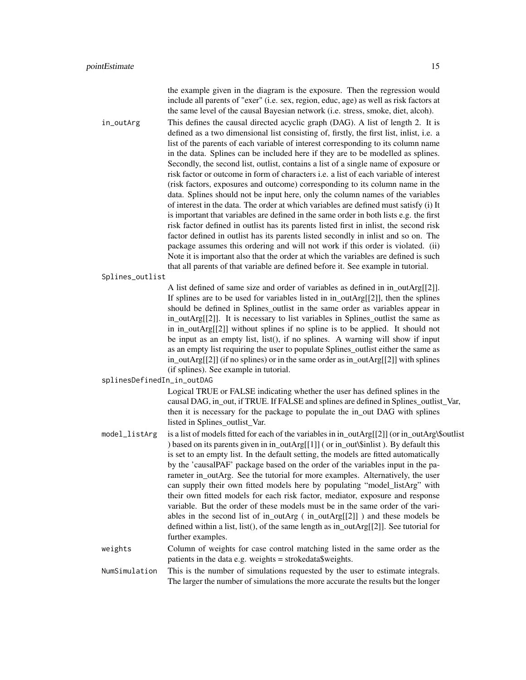the example given in the diagram is the exposure. Then the regression would include all parents of "exer" (i.e. sex, region, educ, age) as well as risk factors at the same level of the causal Bayesian network (i.e. stress, smoke, diet, alcoh).

in\_outArg This defines the causal directed acyclic graph (DAG). A list of length 2. It is defined as a two dimensional list consisting of, firstly, the first list, inlist, i.e. a list of the parents of each variable of interest corresponding to its column name in the data. Splines can be included here if they are to be modelled as splines. Secondly, the second list, outlist, contains a list of a single name of exposure or risk factor or outcome in form of characters i.e. a list of each variable of interest (risk factors, exposures and outcome) corresponding to its column name in the data. Splines should not be input here, only the column names of the variables of interest in the data. The order at which variables are defined must satisfy (i) It is important that variables are defined in the same order in both lists e.g. the first risk factor defined in outlist has its parents listed first in inlist, the second risk factor defined in outlist has its parents listed secondly in inlist and so on. The package assumes this ordering and will not work if this order is violated. (ii) Note it is important also that the order at which the variables are defined is such that all parents of that variable are defined before it. See example in tutorial.

Splines\_outlist

A list defined of same size and order of variables as defined in in\_outArg[[2]]. If splines are to be used for variables listed in in\_outArg[[2]], then the splines should be defined in Splines\_outlist in the same order as variables appear in in\_outArg[[2]]. It is necessary to list variables in Splines\_outlist the same as in in\_outArg[[2]] without splines if no spline is to be applied. It should not be input as an empty list, list(), if no splines. A warning will show if input as an empty list requiring the user to populate Splines\_outlist either the same as in\_outArg[[2]] (if no splines) or in the same order as in\_outArg[[2]] with splines (if splines). See example in tutorial.

splinesDefinedIn\_in\_outDAG

Logical TRUE or FALSE indicating whether the user has defined splines in the causal DAG, in\_out, if TRUE. If FALSE and splines are defined in Splines\_outlist\_Var, then it is necessary for the package to populate the in\_out DAG with splines listed in Splines\_outlist\_Var.

- model\_listArg is a list of models fitted for each of the variables in in\_outArg[[2]] (or in\_outArg\\$outlist ) based on its parents given in in\_outArg[[1]] ( or in\_out\\$inlist ). By default this is set to an empty list. In the default setting, the models are fitted automatically by the 'causalPAF' package based on the order of the variables input in the parameter in\_outArg. See the tutorial for more examples. Alternatively, the user can supply their own fitted models here by populating "model\_listArg" with their own fitted models for each risk factor, mediator, exposure and response variable. But the order of these models must be in the same order of the variables in the second list of in outArg ( in outArg [[2]] ) and these models be defined within a list, list(), of the same length as in\_outArg[[2]]. See tutorial for further examples.
- weights Column of weights for case control matching listed in the same order as the patients in the data e.g. weights = strokedata\$weights.

NumSimulation This is the number of simulations requested by the user to estimate integrals. The larger the number of simulations the more accurate the results but the longer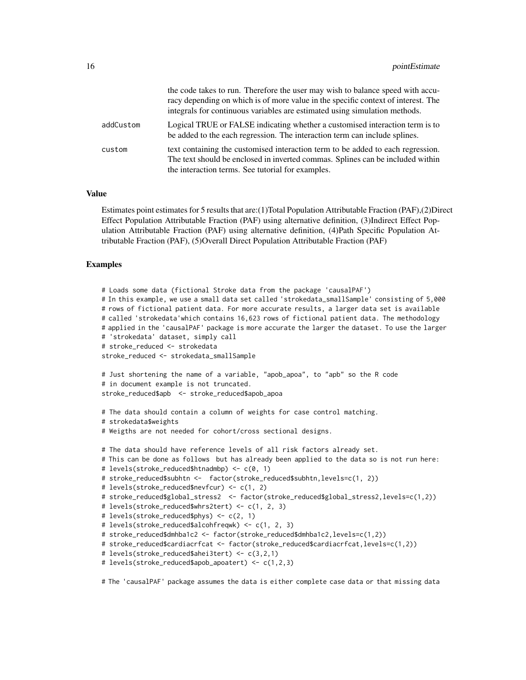|           | the code takes to run. Therefore the user may wish to balance speed with accu-<br>racy depending on which is of more value in the specific context of interest. The<br>integrals for continuous variables are estimated using simulation methods. |
|-----------|---------------------------------------------------------------------------------------------------------------------------------------------------------------------------------------------------------------------------------------------------|
| addCustom | Logical TRUE or FALSE indicating whether a customised interaction term is to<br>be added to the each regression. The interaction term can include splines.                                                                                        |
| custom    | text containing the customised interaction term to be added to each regression.<br>The text should be enclosed in inverted commas. Splines can be included within<br>the interaction terms. See tutorial for examples.                            |

#### Value

Estimates point estimates for 5 results that are:(1)Total Population Attributable Fraction (PAF),(2)Direct Effect Population Attributable Fraction (PAF) using alternative definition, (3)Indirect Effect Population Attributable Fraction (PAF) using alternative definition, (4)Path Specific Population Attributable Fraction (PAF), (5)Overall Direct Population Attributable Fraction (PAF)

#### Examples

```
# Loads some data (fictional Stroke data from the package 'causalPAF')
# In this example, we use a small data set called 'strokedata_smallSample' consisting of 5,000
# rows of fictional patient data. For more accurate results, a larger data set is available
# called 'strokedata'which contains 16,623 rows of fictional patient data. The methodology
# applied in the 'causalPAF' package is more accurate the larger the dataset. To use the larger
# 'strokedata' dataset, simply call
# stroke_reduced <- strokedata
stroke_reduced <- strokedata_smallSample
# Just shortening the name of a variable, "apob_apoa", to "apb" so the R code
# in document example is not truncated.
stroke_reduced$apb <- stroke_reduced$apob_apoa
# The data should contain a column of weights for case control matching.
# strokedata$weights
# Weigths are not needed for cohort/cross sectional designs.
# The data should have reference levels of all risk factors already set.
# This can be done as follows but has already been applied to the data so is not run here:
# levels(stroke_reduced$htnadmbp) <- c(0, 1)
# stroke_reduced$subhtn <- factor(stroke_reduced$subhtn,levels=c(1, 2))
# levels(stroke_reduced$nevfcur) <- c(1, 2)
# stroke_reduced$global_stress2 <- factor(stroke_reduced$global_stress2,levels=c(1,2))
# levels(stroke_reduced$whrs2tert) <- c(1, 2, 3)
# levels(stroke_reduced$phys) <- c(2, 1)
# levels(stroke_reduced$alcohfreqwk) <- c(1, 2, 3)
# stroke_reduced$dmhba1c2 <- factor(stroke_reduced$dmhba1c2,levels=c(1,2))
# stroke_reduced$cardiacrfcat <- factor(stroke_reduced$cardiacrfcat,levels=c(1,2))
# levels(stroke_reduced$ahei3tert) <- c(3,2,1)
# levels(stroke_reduced$apob_apoatert) <- c(1,2,3)
```
# The 'causalPAF' package assumes the data is either complete case data or that missing data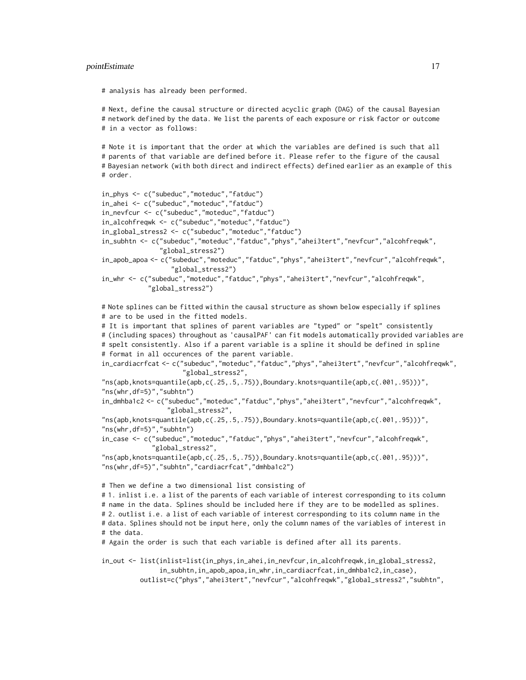#### pointEstimate 17

# analysis has already been performed.

# Next, define the causal structure or directed acyclic graph (DAG) of the causal Bayesian # network defined by the data. We list the parents of each exposure or risk factor or outcome # in a vector as follows:

# Note it is important that the order at which the variables are defined is such that all # parents of that variable are defined before it. Please refer to the figure of the causal # Bayesian network (with both direct and indirect effects) defined earlier as an example of this # order.

```
in_phys <- c("subeduc","moteduc","fatduc")
in_ahei <- c("subeduc","moteduc","fatduc")
in_nevfcur <- c("subeduc","moteduc","fatduc")
in_alcohfreqwk <- c("subeduc","moteduc","fatduc")
in_global_stress2 <- c("subeduc","moteduc","fatduc")
in_subhtn <- c("subeduc","moteduc","fatduc","phys","ahei3tert","nevfcur","alcohfreqwk",
               "global_stress2")
in_apob_apoa <- c("subeduc","moteduc","fatduc","phys","ahei3tert","nevfcur","alcohfreqwk",
                  "global_stress2")
in_whr <- c("subeduc","moteduc","fatduc","phys","ahei3tert","nevfcur","alcohfreqwk",
            "global_stress2")
# Note splines can be fitted within the causal structure as shown below especially if splines
# are to be used in the fitted models.
# It is important that splines of parent variables are "typed" or "spelt" consistently
# (including spaces) throughout as 'causalPAF' can fit models automatically provided variables are
# spelt consistently. Also if a parent variable is a spline it should be defined in spline
# format in all occurences of the parent variable.
in_cardiacrfcat <- c("subeduc","moteduc","fatduc","phys","ahei3tert","nevfcur","alcohfreqwk",
                     "global_stress2",
"ns(apb,knots=quantile(apb,c(.25,.5,.75)),Boundary.knots=quantile(apb,c(.001,.95)))",
"ns(whr,df=5)","subhtn")
in_dmhba1c2 <- c("subeduc","moteduc","fatduc","phys","ahei3tert","nevfcur","alcohfreqwk",
                 "global_stress2",
"ns(apb,knots=quantile(apb,c(.25,.5,.75)),Boundary.knots=quantile(apb,c(.001,.95)))",
"ns(whr,df=5)","subhtn")
in_case <- c("subeduc","moteduc","fatduc","phys","ahei3tert","nevfcur","alcohfreqwk",
             "global_stress2",
"ns(apb,knots=quantile(apb,c(.25,.5,.75)),Boundary.knots=quantile(apb,c(.001,.95)))",
"ns(whr,df=5)","subhtn","cardiacrfcat","dmhba1c2")
# Then we define a two dimensional list consisting of
# 1. inlist i.e. a list of the parents of each variable of interest corresponding to its column
# name in the data. Splines should be included here if they are to be modelled as splines.
# 2. outlist i.e. a list of each variable of interest corresponding to its column name in the
# data. Splines should not be input here, only the column names of the variables of interest in
# the data.
# Again the order is such that each variable is defined after all its parents.
in_out <- list(inlist=list(in_phys,in_ahei,in_nevfcur,in_alcohfreqwk,in_global_stress2,
```
in\_subhtn,in\_apob\_apoa,in\_whr,in\_cardiacrfcat,in\_dmhba1c2,in\_case), outlist=c("phys","ahei3tert","nevfcur","alcohfreqwk","global\_stress2","subhtn",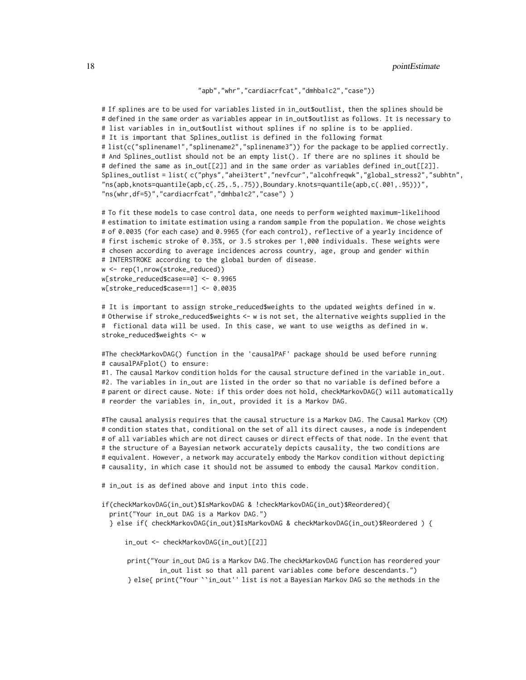"apb","whr","cardiacrfcat","dmhba1c2","case"))

# If splines are to be used for variables listed in in\_out\$outlist, then the splines should be # defined in the same order as variables appear in in\_out\$outlist as follows. It is necessary to # list variables in in\_out\$outlist without splines if no spline is to be applied. # It is important that Splines\_outlist is defined in the following format # list(c("splinename1","splinename2","splinename3")) for the package to be applied correctly. # And Splines\_outlist should not be an empty list(). If there are no splines it should be # defined the same as in\_out[[2]] and in the same order as variables defined in\_out[[2]]. Splines\_outlist = list( c("phys","ahei3tert","nevfcur","alcohfreqwk","global\_stress2","subhtn", "ns(apb,knots=quantile(apb,c(.25,.5,.75)),Boundary.knots=quantile(apb,c(.001,.95)))", "ns(whr,df=5)","cardiacrfcat","dmhba1c2","case") )

# To fit these models to case control data, one needs to perform weighted maximum-likelihood # estimation to imitate estimation using a random sample from the population. We chose weights # of 0.0035 (for each case) and 0.9965 (for each control), reflective of a yearly incidence of # first ischemic stroke of 0.35%, or 3.5 strokes per 1,000 individuals. These weights were # chosen according to average incidences across country, age, group and gender within # INTERSTROKE according to the global burden of disease. w <- rep(1,nrow(stroke\_reduced))

w[stroke\_reduced\$case==0] <- 0.9965 w[stroke\_reduced\$case==1] <- 0.0035

# It is important to assign stroke\_reduced\$weights to the updated weights defined in w. # Otherwise if stroke\_reduced\$weights <- w is not set, the alternative weights supplied in the # fictional data will be used. In this case, we want to use weigths as defined in w. stroke\_reduced\$weights <- w

#The checkMarkovDAG() function in the 'causalPAF' package should be used before running # causalPAFplot() to ensure:

#1. The causal Markov condition holds for the causal structure defined in the variable in\_out. #2. The variables in in\_out are listed in the order so that no variable is defined before a # parent or direct cause. Note: if this order does not hold, checkMarkovDAG() will automatically # reorder the variables in, in\_out, provided it is a Markov DAG.

#The causal analysis requires that the causal structure is a Markov DAG. The Causal Markov (CM) # condition states that, conditional on the set of all its direct causes, a node is independent # of all variables which are not direct causes or direct effects of that node. In the event that # the structure of a Bayesian network accurately depicts causality, the two conditions are # equivalent. However, a network may accurately embody the Markov condition without depicting # causality, in which case it should not be assumed to embody the causal Markov condition.

# in\_out is as defined above and input into this code.

if(checkMarkovDAG(in\_out)\$IsMarkovDAG & !checkMarkovDAG(in\_out)\$Reordered){ print("Your in\_out DAG is a Markov DAG.") } else if( checkMarkovDAG(in\_out)\$IsMarkovDAG & checkMarkovDAG(in\_out)\$Reordered ) {

in\_out <- checkMarkovDAG(in\_out)[[2]]

print("Your in\_out DAG is a Markov DAG.The checkMarkovDAG function has reordered your in\_out list so that all parent variables come before descendants.") } else{ print("Your ``in\_out'' list is not a Bayesian Markov DAG so the methods in the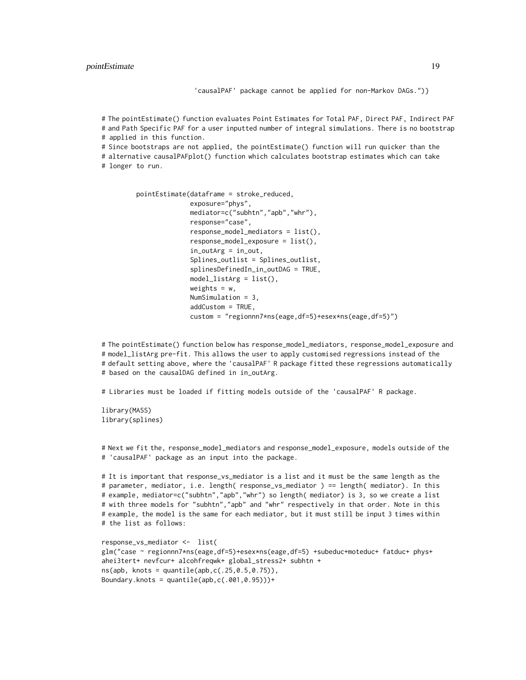'causalPAF' package cannot be applied for non-Markov DAGs.")}

# The pointEstimate() function evaluates Point Estimates for Total PAF, Direct PAF, Indirect PAF # and Path Specific PAF for a user inputted number of integral simulations. There is no bootstrap # applied in this function.

# Since bootstraps are not applied, the pointEstimate() function will run quicker than the

# alternative causalPAFplot() function which calculates bootstrap estimates which can take # longer to run.

```
pointEstimate(dataframe = stroke_reduced,
              exposure="phys",
              mediator=c("subhtn","apb","whr"),
              response="case",
              response_model_mediators = list(),
              response_model_exposure = list(),
              in_outArg = in_out,
              Splines_outlist = Splines_outlist,
              splinesDefinedIn_in_outDAG = TRUE,
              model\_listArg = list(),weights = w,
              NumSimulation = 3,
              addCustom = TRUE,
              custom = "regionnn7*ns(eage,df=5)+esex*ns(eage,df=5)")
```
# The pointEstimate() function below has response\_model\_mediators, response\_model\_exposure and # model\_listArg pre-fit. This allows the user to apply customised regressions instead of the # default setting above, where the 'causalPAF' R package fitted these regressions automatically # based on the causalDAG defined in in\_outArg.

# Libraries must be loaded if fitting models outside of the 'causalPAF' R package.

library(MASS) library(splines)

# Next we fit the, response\_model\_mediators and response\_model\_exposure, models outside of the # 'causalPAF' package as an input into the package.

# It is important that response\_vs\_mediator is a list and it must be the same length as the # parameter, mediator, i.e. length( response\_vs\_mediator ) == length( mediator). In this # example, mediator=c("subhtn","apb","whr") so length( mediator) is 3, so we create a list # with three models for "subhtn","apb" and "whr" respectively in that order. Note in this # example, the model is the same for each mediator, but it must still be input 3 times within # the list as follows:

```
response_vs_mediator <- list(
glm("case ~ regionnn7*ns(eage,df=5)+esex*ns(eage,df=5) +subeduc+moteduc+ fatduc+ phys+
ahei3tert+ nevfcur+ alcohfreqwk+ global_stress2+ subhtn +
ns(app, knots = quantile(app, c(.25, 0.5, 0.75)),Boundary.knots = quantile(app, c(.001, 0.95)))+
```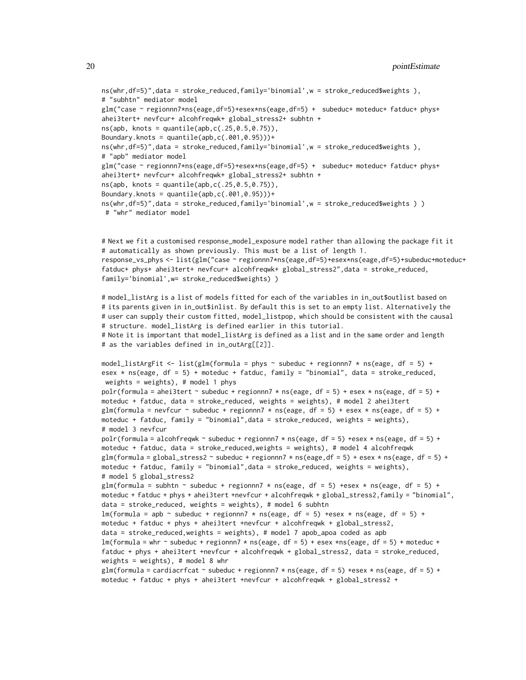```
ns(whr,df=5)",data = stroke_reduced,family='binomial',w = stroke_reduced$weights ),
# "subhtn" mediator model
glm("case ~ regionnn7*ns(eage,df=5)+esex*ns(eage,df=5) + subeduc+ moteduc+ fatduc+ phys+
ahei3tert+ nevfcur+ alcohfreqwk+ global_stress2+ subhtn +
ns(app, knots = quantile(app, c(.25, 0.5, 0.75)),Boundary.knots = quantile(app, c(.001, 0.95)))+
ns(whr,df=5)",data = stroke_reduced,family='binomial',w = stroke_reduced$weights ),
# "apb" mediator model
glm("case ~ regionnn7*ns(eage,df=5)+esex*ns(eage,df=5) + subeduc+ moteduc+ fatduc+ phys+
ahei3tert+ nevfcur+ alcohfreqwk+ global_stress2+ subhtn +
ns(app, knots = quantile(app, c(.25, 0.5, 0.75)),Boundary.knots = quantile(app, c(.001, 0.95)))+
ns(whr,df=5)",data = stroke_reduced,family='binomial',w = stroke_reduced$weights ) )
 # "whr" mediator model
```

```
# Next we fit a customised response_model_exposure model rather than allowing the package fit it
# automatically as shown previously. This must be a list of length 1.
response_vs_phys <- list(glm("case ~ regionnn7*ns(eage,df=5)+esex*ns(eage,df=5)+subeduc+moteduc+
fatduc+ phys+ ahei3tert+ nevfcur+ alcohfreqwk+ global_stress2",data = stroke_reduced,
family='binomial',w= stroke_reduced$weights) )
```

```
# model_listArg is a list of models fitted for each of the variables in in_out$outlist based on
# its parents given in in_out$inlist. By default this is set to an empty list. Alternatively the
# user can supply their custom fitted, model_listpop, which should be consistent with the causal
# structure. model_listArg is defined earlier in this tutorial.
# Note it is important that model_listArg is defined as a list and in the same order and length
```

```
# as the variables defined in in_outArg[[2]].
model_listArgFit <- list(glm(formula = phys \sim subeduc + regionnn7 \star ns(eage, df = 5) +
```

```
esex * ns(eage, df = 5) + moteduc + fatduc, family = "binomial", data = stroke_reduced,
weights = weights), # model 1 phys
polr(formula = ahei3tert \sim subeduc + regionnn7 \star ns(eage, df = 5) + esex \star ns(eage, df = 5) +
moteduc + fatduc, data = stroke_reduced, weights = weights), # model 2 ahei3tert
glm(formula = nevfcur \sim subeduc + regionnn7 * ns(eage, df = 5) + esex * ns(eage, df = 5) +
moteduc + fatduc, family = "binomial",data = stroke_reduced, weights = weights),
# model 3 nevfcur
polr(formula = alcohfreqwk \sim subeduc + regionnn7 \star ns(eage, df = 5) +esex \star ns(eage, df = 5) +
moteduc + fatduc, data = stroke_reduced,weights = weights), # model 4 alcohfreqwk
glm(formula = global\_stress2 \sim subeduc + regionnn7 \times ns(eage, df = 5) + esex \times ns(eage, df = 5) +moteduc + fatduc, family = "binomial",data = stroke_reduced, weights = weights),
# model 5 global_stress2
glm(formula = subhtn \sim subeduc + regionnn7 * ns(eage, df = 5) +esex * ns(eage, df = 5) +
moteduc + fatduc + phys + ahei3tert +nevfcur + alcohfreqwk + global_stress2,family = "binomial",
data = stroke_reduced, weights = weights), # model 6 subhtn
lm(formula = app \sim subeduc + regionnn7 * ns(eage, df = 5) +esex * ns(eage, df = 5) +moteduc + fatduc + phys + ahei3tert +nevfcur + alcohfreqwk + global_stress2,
data = stroke_reduced,weights = weights), # model 7 apob_apoa coded as apb
lm(formula = whr \sim subeduc + regionnn7 * ns(eage, df = 5) + esex *ns(eage, df = 5) + moteduc +fatduc + phys + ahei3tert +nevfcur + alcohfreqwk + global_stress2, data = stroke_reduced,
weights = weights), # model 8 whr
glm(formula = cardiacrfcat \sim subeduc + regionnn7 \star ns(eage, df = 5) +esex \star ns(eage, df = 5) +
moteduc + fatduc + phys + ahei3tert +nevfcur + alcohfreqwk + global_stress2 +
```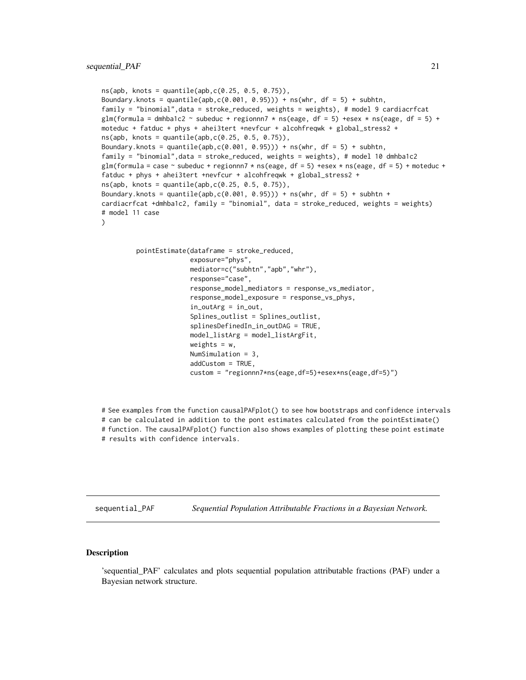```
ns(app, knots = quantile(app, c(0.25, 0.5, 0.75)),Boundary.knots = quantile(apb,c(0.001, 0.95))) + ns(whr, df = 5) + subhtn,
family = "binomial",data = stroke_reduced, weights = weights), # model 9 cardiacrfcat
glm(formula = dmhba1c2 \sim subeduc + regionnn7 \star ns(eage, df = 5) +esex \star ns(eage, df = 5) +
moteduc + fatduc + phys + ahei3tert +nevfcur + alcohfreqwk + global_stress2 +
ns(app, knots = quantile(app, c(0.25, 0.5, 0.75)),Boundary.knots = quantile(apb,c(0.001, 0.95))) + ns(whr, df = 5) + subhtn,
family = "binomial", data = stroke_reduced, weights = weights), # model 10 dmhba1c2
glm(formula = case \sim subeduc + regionnn7 \star ns(eage, df = 5) +esex \star ns(eage, df = 5) + moteduc +
fatduc + phys + ahei3tert +nevfcur + alcohfreqwk + global_stress2 +
ns(app, knots = quantile(app, c(0.25, 0.5, 0.75)),Boundary.knots = quantile(apb,c(0.001, 0.95))) + ns(whr, df = 5) + subhtn +
cardiacrfcat +dmhba1c2, family = "binomial", data = stroke_reduced, weights = weights)
# model 11 case
)
         pointEstimate(dataframe = stroke_reduced,
                       exposure="phys",
                       mediator=c("subhtn","apb","whr"),
                       response="case",
                       response_model_mediators = response_vs_mediator,
                       response_model_exposure = response_vs_phys,
                       in_outArg = in_out,
                       Splines_outlist = Splines_outlist,
                       splinesDefinedIn_in_outDAG = TRUE,
                       model_listArg = model_listArgFit,
                       weights = w,
                       NumSimulation = 3,
                       addCustom = TRUE,
```
custom = "regionnn7\*ns(eage,df=5)+esex\*ns(eage,df=5)")

# See examples from the function causalPAFplot() to see how bootstraps and confidence intervals # can be calculated in addition to the pont estimates calculated from the pointEstimate() # function. The causalPAFplot() function also shows examples of plotting these point estimate # results with confidence intervals.

sequential\_PAF *Sequential Population Attributable Fractions in a Bayesian Network.*

#### Description

'sequential\_PAF' calculates and plots sequential population attributable fractions (PAF) under a Bayesian network structure.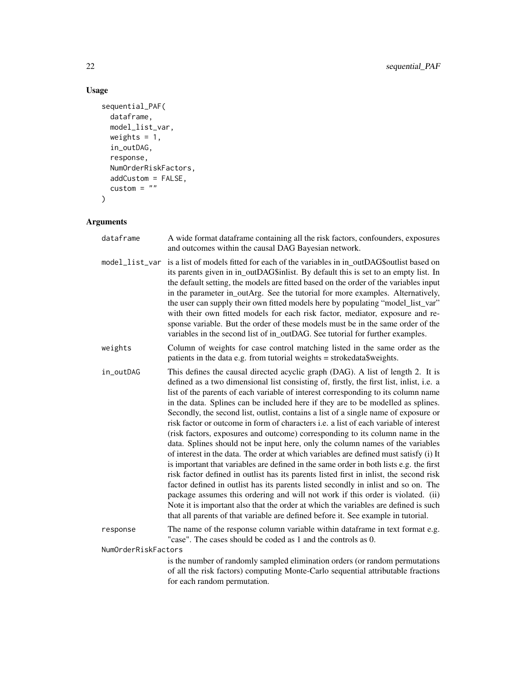#### Usage

```
sequential_PAF(
  dataframe,
  model_list_var,
  weights = 1,
  in_outDAG,
  response,
  NumOrderRiskFactors,
  addCustom = FALSE,
  custom = ""\mathcal{L}
```
#### Arguments

| dataframe                       | A wide format dataframe containing all the risk factors, confounders, exposures<br>and outcomes within the causal DAG Bayesian network.                                                                                                                                                                                                                                                                                                                                                                                                                                                                                                                                                                                                                                                                                                                                                                                                                                                                                                                                                                                                                                                                                                                                                                                                   |
|---------------------------------|-------------------------------------------------------------------------------------------------------------------------------------------------------------------------------------------------------------------------------------------------------------------------------------------------------------------------------------------------------------------------------------------------------------------------------------------------------------------------------------------------------------------------------------------------------------------------------------------------------------------------------------------------------------------------------------------------------------------------------------------------------------------------------------------------------------------------------------------------------------------------------------------------------------------------------------------------------------------------------------------------------------------------------------------------------------------------------------------------------------------------------------------------------------------------------------------------------------------------------------------------------------------------------------------------------------------------------------------|
| model_list_var                  | is a list of models fitted for each of the variables in in_outDAG\$outlist based on<br>its parents given in in_outDAG\$inlist. By default this is set to an empty list. In<br>the default setting, the models are fitted based on the order of the variables input<br>in the parameter in_outArg. See the tutorial for more examples. Alternatively,<br>the user can supply their own fitted models here by populating "model_list_var"<br>with their own fitted models for each risk factor, mediator, exposure and re-<br>sponse variable. But the order of these models must be in the same order of the<br>variables in the second list of in_outDAG. See tutorial for further examples.                                                                                                                                                                                                                                                                                                                                                                                                                                                                                                                                                                                                                                              |
| weights                         | Column of weights for case control matching listed in the same order as the<br>patients in the data e.g. from tutorial weights = strokedata\$weights.                                                                                                                                                                                                                                                                                                                                                                                                                                                                                                                                                                                                                                                                                                                                                                                                                                                                                                                                                                                                                                                                                                                                                                                     |
| in_outDAG                       | This defines the causal directed acyclic graph (DAG). A list of length 2. It is<br>defined as a two dimensional list consisting of, firstly, the first list, inlist, i.e. a<br>list of the parents of each variable of interest corresponding to its column name<br>in the data. Splines can be included here if they are to be modelled as splines.<br>Secondly, the second list, outlist, contains a list of a single name of exposure or<br>risk factor or outcome in form of characters i.e. a list of each variable of interest<br>(risk factors, exposures and outcome) corresponding to its column name in the<br>data. Splines should not be input here, only the column names of the variables<br>of interest in the data. The order at which variables are defined must satisfy (i) It<br>is important that variables are defined in the same order in both lists e.g. the first<br>risk factor defined in outlist has its parents listed first in inlist, the second risk<br>factor defined in outlist has its parents listed secondly in inlist and so on. The<br>package assumes this ordering and will not work if this order is violated. (ii)<br>Note it is important also that the order at which the variables are defined is such<br>that all parents of that variable are defined before it. See example in tutorial. |
| response<br>NumOrderRiskFactors | The name of the response column variable within dataframe in text format e.g.<br>"case". The cases should be coded as 1 and the controls as 0.                                                                                                                                                                                                                                                                                                                                                                                                                                                                                                                                                                                                                                                                                                                                                                                                                                                                                                                                                                                                                                                                                                                                                                                            |
|                                 | is the number of randomly sampled elimination orders (or random permutations<br>of all the risk factors) computing Monte-Carlo sequential attributable fractions<br>for each random permutation.                                                                                                                                                                                                                                                                                                                                                                                                                                                                                                                                                                                                                                                                                                                                                                                                                                                                                                                                                                                                                                                                                                                                          |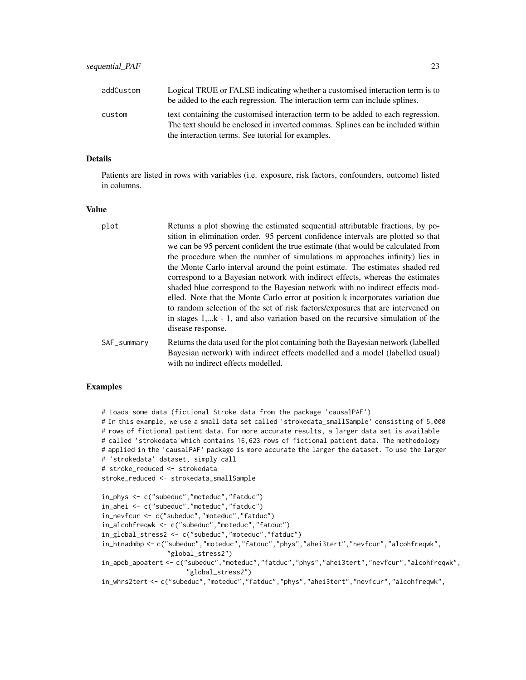| addCustom | Logical TRUE or FALSE indicating whether a customised interaction term is to<br>be added to the each regression. The interaction term can include splines.                                                             |
|-----------|------------------------------------------------------------------------------------------------------------------------------------------------------------------------------------------------------------------------|
| custom    | text containing the customised interaction term to be added to each regression.<br>The text should be enclosed in inverted commas. Splines can be included within<br>the interaction terms. See tutorial for examples. |

#### Details

Patients are listed in rows with variables (i.e. exposure, risk factors, confounders, outcome) listed in columns.

#### Value

| plot        | Returns a plot showing the estimated sequential attributable fractions, by po-<br>sition in elimination order. 95 percent confidence intervals are plotted so that<br>we can be 95 percent confident the true estimate (that would be calculated from<br>the procedure when the number of simulations m approaches infinity) lies in<br>the Monte Carlo interval around the point estimate. The estimates shaded red<br>correspond to a Bayesian network with indirect effects, whereas the estimates<br>shaded blue correspond to the Bayesian network with no indirect effects mod-<br>elled. Note that the Monte Carlo error at position k incorporates variation due<br>to random selection of the set of risk factors/exposures that are intervened on<br>in stages 1,k - 1, and also variation based on the recursive simulation of the<br>disease response. |
|-------------|--------------------------------------------------------------------------------------------------------------------------------------------------------------------------------------------------------------------------------------------------------------------------------------------------------------------------------------------------------------------------------------------------------------------------------------------------------------------------------------------------------------------------------------------------------------------------------------------------------------------------------------------------------------------------------------------------------------------------------------------------------------------------------------------------------------------------------------------------------------------|
| SAF_summary | Returns the data used for the plot containing both the Bayesian network (labelled<br>Bayesian network) with indirect effects modelled and a model (labelled usual)<br>with no indirect effects modelled.                                                                                                                                                                                                                                                                                                                                                                                                                                                                                                                                                                                                                                                           |

#### Examples

```
# Loads some data (fictional Stroke data from the package 'causalPAF')
# In this example, we use a small data set called 'strokedata_smallSample' consisting of 5,000
# rows of fictional patient data. For more accurate results, a larger data set is available
# called 'strokedata'which contains 16,623 rows of fictional patient data. The methodology
# applied in the 'causalPAF' package is more accurate the larger the dataset. To use the larger
# 'strokedata' dataset, simply call
# stroke_reduced <- strokedata
stroke_reduced <- strokedata_smallSample
in_phys <- c("subeduc","moteduc","fatduc")
in_ahei <- c("subeduc","moteduc","fatduc")
in_nevfcur <- c("subeduc","moteduc","fatduc")
in_alcohfreqwk <- c("subeduc","moteduc","fatduc")
in_global_stress2 <- c("subeduc","moteduc","fatduc")
in_htnadmbp <- c("subeduc","moteduc","fatduc","phys","ahei3tert","nevfcur","alcohfreqwk",
                 "global_stress2")
in_apob_apoatert <- c("subeduc","moteduc","fatduc","phys","ahei3tert","nevfcur","alcohfreqwk",
                      "global_stress2")
in_whrs2tert <- c("subeduc","moteduc","fatduc","phys","ahei3tert","nevfcur","alcohfreqwk",
```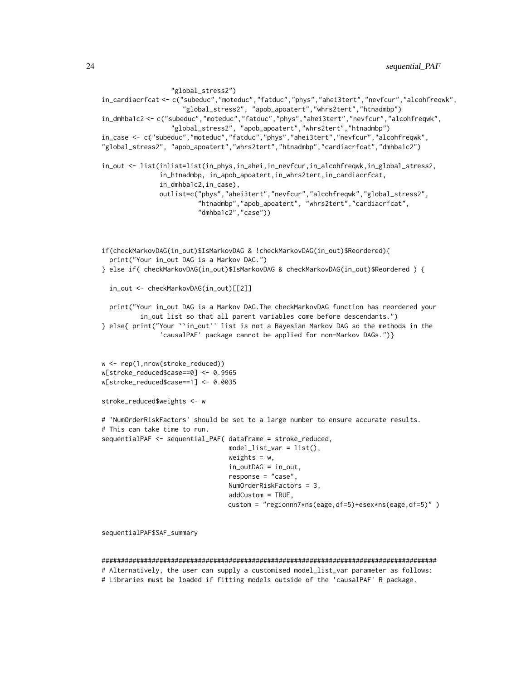```
"global_stress2")
in_cardiacrfcat <- c("subeduc","moteduc","fatduc","phys","ahei3tert","nevfcur","alcohfreqwk",
                     "global_stress2", "apob_apoatert","whrs2tert","htnadmbp")
in_dmhba1c2 <- c("subeduc","moteduc","fatduc","phys","ahei3tert","nevfcur","alcohfreqwk",
                  "global_stress2", "apob_apoatert","whrs2tert","htnadmbp")
in_case <- c("subeduc","moteduc","fatduc","phys","ahei3tert","nevfcur","alcohfreqwk",
"global_stress2", "apob_apoatert","whrs2tert","htnadmbp","cardiacrfcat","dmhba1c2")
in_out <- list(inlist=list(in_phys,in_ahei,in_nevfcur,in_alcohfreqwk,in_global_stress2,
               in_htnadmbp, in_apob_apoatert,in_whrs2tert,in_cardiacrfcat,
               in_dmhba1c2,in_case),
               outlist=c("phys","ahei3tert","nevfcur","alcohfreqwk","global_stress2",
                         "htnadmbp","apob_apoatert", "whrs2tert","cardiacrfcat",
                         "dmhba1c2","case"))
if(checkMarkovDAG(in_out)$IsMarkovDAG & !checkMarkovDAG(in_out)$Reordered){
 print("Your in_out DAG is a Markov DAG.")
} else if( checkMarkovDAG(in_out)$IsMarkovDAG & checkMarkovDAG(in_out)$Reordered ) {
  in_out <- checkMarkovDAG(in_out)[[2]]
 print("Your in_out DAG is a Markov DAG.The checkMarkovDAG function has reordered your
          in_out list so that all parent variables come before descendants.")
} else{ print("Your ``in_out'' list is not a Bayesian Markov DAG so the methods in the
               'causalPAF' package cannot be applied for non-Markov DAGs.")}
w <- rep(1,nrow(stroke_reduced))
w[stroke_reduced$case==0] <- 0.9965
w[stroke_reduced$case==1] <- 0.0035
stroke_reduced$weights <- w
# 'NumOrderRiskFactors' should be set to a large number to ensure accurate results.
# This can take time to run.
sequentialPAF <- sequential_PAF( dataframe = stroke_reduced,
                                 model_list_var = list(),
                                 weights = w,
                                 in_outDAG = in_out,
                                 response = "case",
                                 NumOrderRiskFactors = 3,
                                 addCustom = TRUE,
                                 custom = "regionnn7*ns(eage,df=5)+esex*ns(eage,df=5)" )
```
sequentialPAF\$SAF\_summary

#### #######################################################################################

# Alternatively, the user can supply a customised model\_list\_var parameter as follows: # Libraries must be loaded if fitting models outside of the 'causalPAF' R package.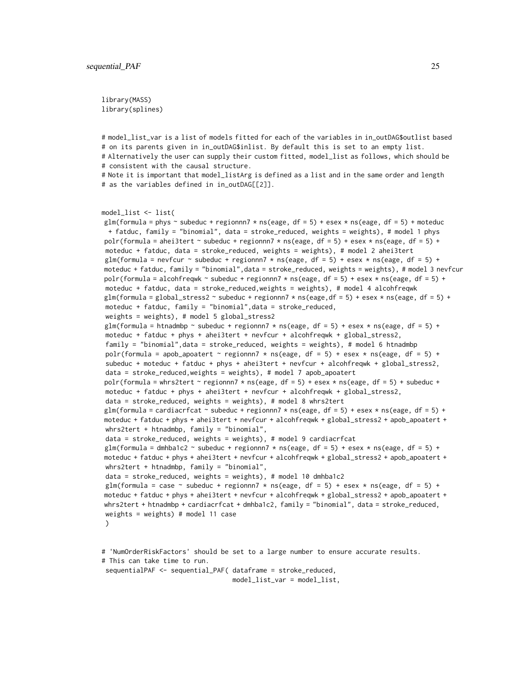library(MASS) library(splines)

# model\_list\_var is a list of models fitted for each of the variables in in\_outDAG\$outlist based # on its parents given in in\_outDAG\$inlist. By default this is set to an empty list. # Alternatively the user can supply their custom fitted, model\_list as follows, which should be # consistent with the causal structure. # Note it is important that model\_listArg is defined as a list and in the same order and length # as the variables defined in in\_outDAG[[2]]. model\_list <- list( glm(formula = phys  $\sim$  subeduc + regionnn7  $\star$  ns(eage, df = 5) + esex  $\star$  ns(eage, df = 5) + moteduc + fatduc, family = "binomial", data = stroke\_reduced, weights = weights), # model 1 phys polr(formula = ahei3tert  $\sim$  subeduc + regionnn7  $\star$  ns(eage, df = 5) + esex  $\star$  ns(eage, df = 5) + moteduc + fatduc, data = stroke\_reduced, weights = weights), # model 2 ahei3tert glm(formula = nevfcur  $\sim$  subeduc + regionnn7  $\star$  ns(eage, df = 5) + esex  $\star$  ns(eage, df = 5) + moteduc + fatduc, family = "binomial",data = stroke\_reduced, weights = weights), # model 3 nevfcur polr(formula = alcohfreqwk ~ subeduc + regionnn7  $*$  ns(eage, df = 5) + esex  $*$  ns(eage, df = 5) + moteduc + fatduc, data = stroke\_reduced,weights = weights), # model 4 alcohfreqwk glm(formula = global\_stress2  $\sim$  subeduc + regionnn7  $\star$  ns(eage,df = 5) + esex  $\star$  ns(eage, df = 5) + moteduc + fatduc, family = "binomial",data = stroke\_reduced, weights = weights), # model 5 global\_stress2 glm(formula = htnadmbp  $\sim$  subeduc + regionnn7  $\star$  ns(eage, df = 5) + esex  $\star$  ns(eage, df = 5) + moteduc + fatduc + phys + ahei3tert + nevfcur + alcohfreqwk + global\_stress2, family = "binomial",data = stroke\_reduced, weights = weights), # model 6 htnadmbp polr(formula = apob\_apoatert  $\sim$  regionnn7  $\star$  ns(eage, df = 5) + esex  $\star$  ns(eage, df = 5) + subeduc + moteduc + fatduc + phys + ahei3tert + nevfcur + alcohfreqwk + global\_stress2, data = stroke\_reduced,weights = weights), # model 7 apob\_apoatert polr(formula = whrs2tert  $\sim$  regionnn7  $\star$  ns(eage, df = 5) + esex  $\star$  ns(eage, df = 5) + subeduc + moteduc + fatduc + phys + ahei3tert + nevfcur + alcohfreqwk + global\_stress2, data = stroke\_reduced, weights = weights), # model 8 whrs2tert glm(formula = cardiacrfcat  $\sim$  subeduc + regionnn7  $\star$  ns(eage, df = 5) + esex  $\star$  ns(eage, df = 5) + moteduc + fatduc + phys + ahei3tert + nevfcur + alcohfreqwk + global\_stress2 + apob\_apoatert + whrs2tert + htnadmbp, family = "binomial", data = stroke\_reduced, weights = weights), # model 9 cardiacrfcat glm(formula = dmhba1c2  $\sim$  subeduc + regionnn7  $*$  ns(eage, df = 5) + esex  $*$  ns(eage, df = 5) + moteduc + fatduc + phys + ahei3tert + nevfcur + alcohfreqwk + global\_stress2 + apob\_apoatert + whrs2tert + htnadmbp, family = "binomial", data = stroke\_reduced, weights = weights), # model 10 dmhba1c2 glm(formula = case ~ subeduc + regionnn7 \* ns(eage, df = 5) + esex \* ns(eage, df = 5) + moteduc + fatduc + phys + ahei3tert + nevfcur + alcohfreqwk + global\_stress2 + apob\_apoatert + whrs2tert + htnadmbp + cardiacrfcat + dmhba1c2, family = "binomial", data = stroke\_reduced, weights = weights) # model 11 case  $\lambda$ # 'NumOrderRiskFactors' should be set to a large number to ensure accurate results.

# This can take time to run. sequentialPAF <- sequential\_PAF( dataframe = stroke\_reduced, model\_list\_var = model\_list,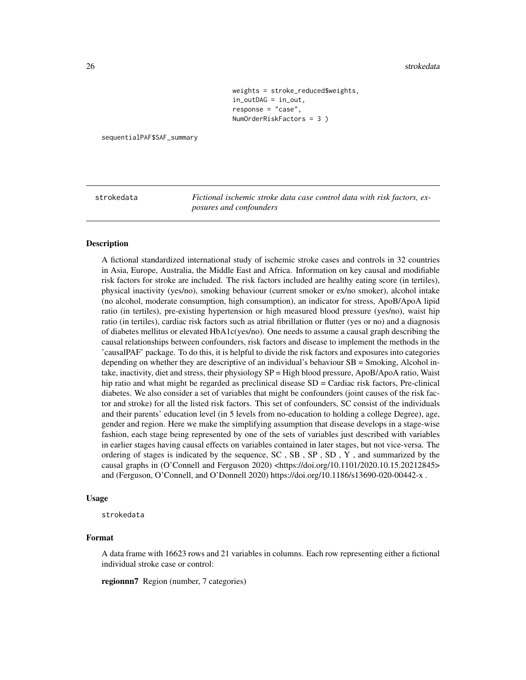#### <span id="page-25-0"></span>26 strokedata and the strokedata and the strokedata and the strokedata and the strokedata

```
weights = stroke_reduced$weights,
in_outDAG = in_out,
response = "case",
NumOrderRiskFactors = 3 )
```
sequentialPAF\$SAF\_summary

strokedata *Fictional ischemic stroke data case control data with risk factors, exposures and confounders*

#### Description

A fictional standardized international study of ischemic stroke cases and controls in 32 countries in Asia, Europe, Australia, the Middle East and Africa. Information on key causal and modifiable risk factors for stroke are included. The risk factors included are healthy eating score (in tertiles), physical inactivity (yes/no), smoking behaviour (current smoker or ex/no smoker), alcohol intake (no alcohol, moderate consumption, high consumption), an indicator for stress, ApoB/ApoA lipid ratio (in tertiles), pre-existing hypertension or high measured blood pressure (yes/no), waist hip ratio (in tertiles), cardiac risk factors such as atrial fibrillation or flutter (yes or no) and a diagnosis of diabetes mellitus or elevated HbA1c(yes/no). One needs to assume a causal graph describing the causal relationships between confounders, risk factors and disease to implement the methods in the 'causalPAF' package. To do this, it is helpful to divide the risk factors and exposures into categories depending on whether they are descriptive of an individual's behaviour SB = Smoking, Alcohol intake, inactivity, diet and stress, their physiology SP = High blood pressure, ApoB/ApoA ratio, Waist hip ratio and what might be regarded as preclinical disease SD = Cardiac risk factors, Pre-clinical diabetes. We also consider a set of variables that might be confounders (joint causes of the risk factor and stroke) for all the listed risk factors. This set of confounders, SC consist of the individuals and their parents' education level (in 5 levels from no-education to holding a college Degree), age, gender and region. Here we make the simplifying assumption that disease develops in a stage-wise fashion, each stage being represented by one of the sets of variables just described with variables in earlier stages having causal effects on variables contained in later stages, but not vice-versa. The ordering of stages is indicated by the sequence,  $SC$ ,  $SB$ ,  $SP$ ,  $SD$ ,  $Y$ , and summarized by the causal graphs in (O'Connell and Ferguson 2020) <https://doi.org/10.1101/2020.10.15.20212845> and (Ferguson, O'Connell, and O'Donnell 2020) https://doi.org/10.1186/s13690-020-00442-x .

#### Usage

strokedata

#### Format

A data frame with 16623 rows and 21 variables in columns. Each row representing either a fictional individual stroke case or control:

regionnn7 Region (number, 7 categories)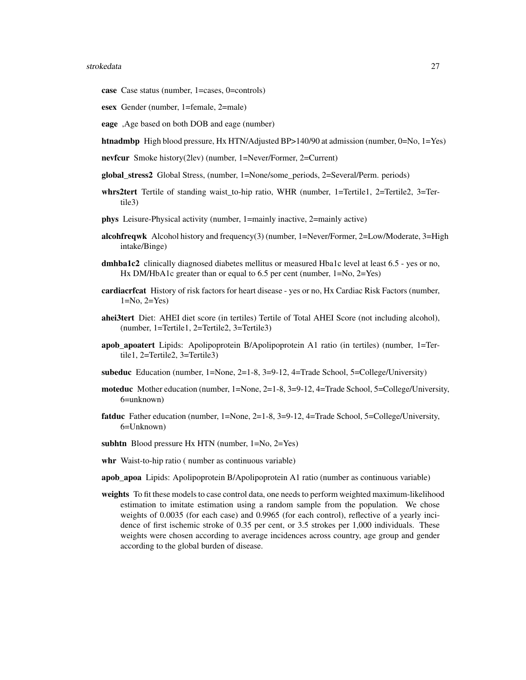#### strokedata 27

- case Case status (number, 1=cases, 0=controls)
- esex Gender (number, 1=female, 2=male)
- eage ,Age based on both DOB and eage (number)
- htnadmbp High blood pressure, Hx HTN/Adjusted BP>140/90 at admission (number, 0=No, 1=Yes)
- nevfcur Smoke history(2lev) (number, 1=Never/Former, 2=Current)
- global\_stress2 Global Stress, (number, 1=None/some\_periods, 2=Several/Perm. periods)
- whrs2tert Tertile of standing waist\_to-hip ratio, WHR (number, 1=Tertile1, 2=Tertile2, 3=Tertile3)
- phys Leisure-Physical activity (number, 1=mainly inactive, 2=mainly active)
- alcohfreqwk Alcohol history and frequency(3) (number, 1=Never/Former, 2=Low/Moderate, 3=High intake/Binge)
- dmhba1c2 clinically diagnosed diabetes mellitus or measured Hba1c level at least 6.5 yes or no, Hx DM/HbA1c greater than or equal to 6.5 per cent (number, 1=No, 2=Yes)
- cardiacrfcat History of risk factors for heart disease yes or no, Hx Cardiac Risk Factors (number, 1=No, 2=Yes)
- ahei3tert Diet: AHEI diet score (in tertiles) Tertile of Total AHEI Score (not including alcohol), (number, 1=Tertile1, 2=Tertile2, 3=Tertile3)
- apob\_apoatert Lipids: Apolipoprotein B/Apolipoprotein A1 ratio (in tertiles) (number, 1=Tertile1, 2=Tertile2, 3=Tertile3)
- subeduc Education (number, 1=None, 2=1-8, 3=9-12, 4=Trade School, 5=College/University)
- moteduc Mother education (number, 1=None, 2=1-8, 3=9-12, 4=Trade School, 5=College/University, 6=unknown)
- fatduc Father education (number, 1=None, 2=1-8, 3=9-12, 4=Trade School, 5=College/University, 6=Unknown)
- subhtn Blood pressure Hx HTN (number, 1=No, 2=Yes)
- whr Waist-to-hip ratio ( number as continuous variable)
- apob\_apoa Lipids: Apolipoprotein B/Apolipoprotein A1 ratio (number as continuous variable)
- weights To fit these models to case control data, one needs to perform weighted maximum-likelihood estimation to imitate estimation using a random sample from the population. We chose weights of 0.0035 (for each case) and 0.9965 (for each control), reflective of a yearly incidence of first ischemic stroke of 0.35 per cent, or 3.5 strokes per 1,000 individuals. These weights were chosen according to average incidences across country, age group and gender according to the global burden of disease.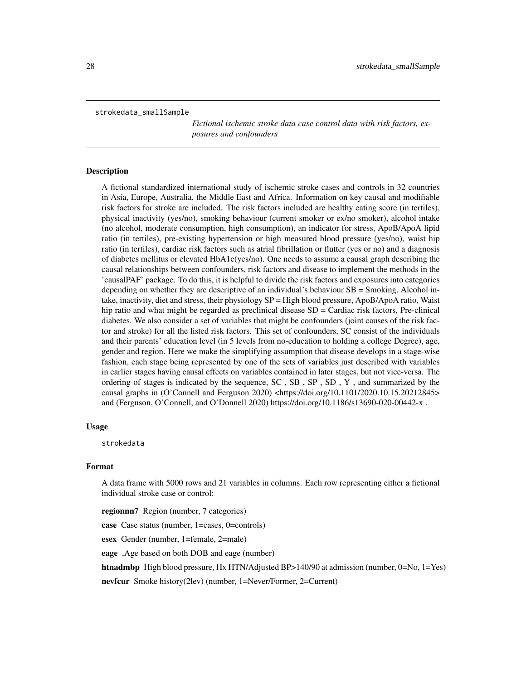<span id="page-27-0"></span>strokedata\_smallSample

*Fictional ischemic stroke data case control data with risk factors, exposures and confounders*

#### Description

A fictional standardized international study of ischemic stroke cases and controls in 32 countries in Asia, Europe, Australia, the Middle East and Africa. Information on key causal and modifiable risk factors for stroke are included. The risk factors included are healthy eating score (in tertiles), physical inactivity (yes/no), smoking behaviour (current smoker or ex/no smoker), alcohol intake (no alcohol, moderate consumption, high consumption), an indicator for stress, ApoB/ApoA lipid ratio (in tertiles), pre-existing hypertension or high measured blood pressure (yes/no), waist hip ratio (in tertiles), cardiac risk factors such as atrial fibrillation or flutter (yes or no) and a diagnosis of diabetes mellitus or elevated HbA1c(yes/no). One needs to assume a causal graph describing the causal relationships between confounders, risk factors and disease to implement the methods in the 'causalPAF' package. To do this, it is helpful to divide the risk factors and exposures into categories depending on whether they are descriptive of an individual's behaviour SB = Smoking, Alcohol intake, inactivity, diet and stress, their physiology SP = High blood pressure, ApoB/ApoA ratio, Waist hip ratio and what might be regarded as preclinical disease SD = Cardiac risk factors, Pre-clinical diabetes. We also consider a set of variables that might be confounders (joint causes of the risk factor and stroke) for all the listed risk factors. This set of confounders, SC consist of the individuals and their parents' education level (in 5 levels from no-education to holding a college Degree), age, gender and region. Here we make the simplifying assumption that disease develops in a stage-wise fashion, each stage being represented by one of the sets of variables just described with variables in earlier stages having causal effects on variables contained in later stages, but not vice-versa. The ordering of stages is indicated by the sequence, SC , SB , SP , SD , Y , and summarized by the causal graphs in (O'Connell and Ferguson 2020) <https://doi.org/10.1101/2020.10.15.20212845> and (Ferguson, O'Connell, and O'Donnell 2020) https://doi.org/10.1186/s13690-020-00442-x .

#### Usage

strokedata

#### Format

A data frame with 5000 rows and 21 variables in columns. Each row representing either a fictional individual stroke case or control:

regionnn7 Region (number, 7 categories)

case Case status (number, 1=cases, 0=controls)

esex Gender (number, 1=female, 2=male)

eage ,Age based on both DOB and eage (number)

htnadmbp High blood pressure, Hx HTN/Adjusted BP>140/90 at admission (number, 0=No, 1=Yes)

nevfcur Smoke history(2lev) (number, 1=Never/Former, 2=Current)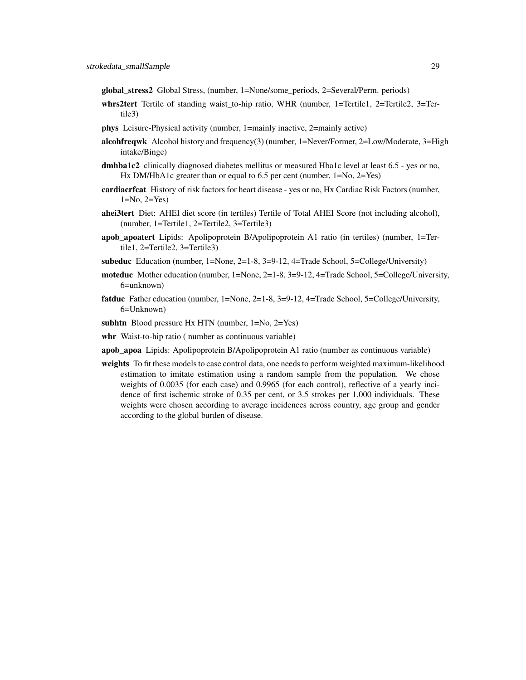global\_stress2 Global Stress, (number, 1=None/some\_periods, 2=Several/Perm. periods)

- whrs2tert Tertile of standing waist\_to-hip ratio, WHR (number, 1=Tertile1, 2=Tertile2, 3=Tertile3)
- phys Leisure-Physical activity (number, 1=mainly inactive, 2=mainly active)
- alcohfreqwk Alcohol history and frequency(3) (number, 1=Never/Former, 2=Low/Moderate, 3=High intake/Binge)
- dmhba1c2 clinically diagnosed diabetes mellitus or measured Hba1c level at least 6.5 yes or no, Hx DM/HbA1c greater than or equal to 6.5 per cent (number, 1=No, 2=Yes)
- cardiacrfcat History of risk factors for heart disease yes or no, Hx Cardiac Risk Factors (number,  $1=No, 2=Yes$
- ahei3tert Diet: AHEI diet score (in tertiles) Tertile of Total AHEI Score (not including alcohol), (number, 1=Tertile1, 2=Tertile2, 3=Tertile3)
- apob\_apoatert Lipids: Apolipoprotein B/Apolipoprotein A1 ratio (in tertiles) (number, 1=Tertile1, 2=Tertile2, 3=Tertile3)
- subeduc Education (number, 1=None, 2=1-8, 3=9-12, 4=Trade School, 5=College/University)
- moteduc Mother education (number, 1=None, 2=1-8, 3=9-12, 4=Trade School, 5=College/University, 6=unknown)
- fatduc Father education (number, 1=None, 2=1-8, 3=9-12, 4=Trade School, 5=College/University, 6=Unknown)
- subhtn Blood pressure Hx HTN (number, 1=No, 2=Yes)
- whr Waist-to-hip ratio ( number as continuous variable)
- apob apoa Lipids: Apolipoprotein B/Apolipoprotein A1 ratio (number as continuous variable)
- weights To fit these models to case control data, one needs to perform weighted maximum-likelihood estimation to imitate estimation using a random sample from the population. We chose weights of 0.0035 (for each case) and 0.9965 (for each control), reflective of a yearly incidence of first ischemic stroke of 0.35 per cent, or 3.5 strokes per 1,000 individuals. These weights were chosen according to average incidences across country, age group and gender according to the global burden of disease.